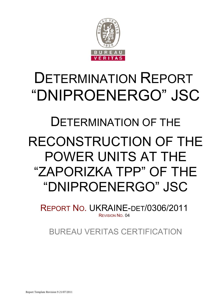

# DETERMINATION REPORT "DNIPROENERGO" JSC

# DETERMINATION OF THE

# RECONSTRUCTION OF THE POWER UNITS AT THE "ZAPORIZKA TPP" OF THE "DNIPROENERGO" JSC

REPORT NO. UKRAINE-DET/0306/2011 REVISION NO. 04

BUREAU VERITAS CERTIFICATION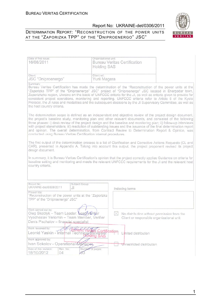# DETERMINATION REPORT: "RECONSTRUCTION OF THE POWER UNITS AT THE "ZAPORIZKA TPP" OF THE "DNIPROENERGO" JSC"



| Date of first issue:<br>16/08/2011                                                                                                                                                                                                                                                                                                                                                                                                                                                                                                                                                                                                              | Organizational unit:<br><b>Bureau Veritas Certification</b><br><b>Holding SAS</b>                                                                                                                                                   |  |  |  |  |  |  |  |  |  |
|-------------------------------------------------------------------------------------------------------------------------------------------------------------------------------------------------------------------------------------------------------------------------------------------------------------------------------------------------------------------------------------------------------------------------------------------------------------------------------------------------------------------------------------------------------------------------------------------------------------------------------------------------|-------------------------------------------------------------------------------------------------------------------------------------------------------------------------------------------------------------------------------------|--|--|--|--|--|--|--|--|--|
| Client:<br>JSC "Dniproenergo"                                                                                                                                                                                                                                                                                                                                                                                                                                                                                                                                                                                                                   | Client ref.:<br>Yurii Magera                                                                                                                                                                                                        |  |  |  |  |  |  |  |  |  |
| Summary:<br>Bureau Veritas Certification has made the determination of the "Reconstruction of the power units at the<br>"Zaporizka TPP" of the "Dniproenergo" JSC" project of "Dniproenergo" JSC located in Energodar town,<br>Zaporizhzha region, Ukraine on the basis of UNFCCC criteria for the JI, as well as criteria given to provide for<br>consistent project operations, monitoring and reporting. UNFCCC criteria refer to Article 6 of the Kyoto<br>Protocol, the JI rules and modalities and the subsequent decisions by the JI Supervisory Committee, as well as<br>the host country criteria.                                     |                                                                                                                                                                                                                                     |  |  |  |  |  |  |  |  |  |
| The determination scope is defined as an independent and objective review of the project design document,<br>the project's baseline study, monitoring plan and other relevant documents, and consisted of the following<br>three phases: i) desk review of the project design and the baseline and monitoring plan; ii) follow-up interviews<br>with project stakeholders; iii) resolution of outstanding issues and the issuance of the final determination report<br>and opinion. The overall determination, from Contract Review to Determination Report & Opinion, was<br>conducted using Bureau Veritas Certification internal procedures. |                                                                                                                                                                                                                                     |  |  |  |  |  |  |  |  |  |
| design document.                                                                                                                                                                                                                                                                                                                                                                                                                                                                                                                                                                                                                                | The first output of the determination process is a list of Clarification and Corrective Actions Requests (CL and<br>CAR), presented in Appendix A. Taking into account this output, the project proponent revised its project       |  |  |  |  |  |  |  |  |  |
| country criteria.                                                                                                                                                                                                                                                                                                                                                                                                                                                                                                                                                                                                                               | In summary, it is Bureau Veritas Certification's opinion that the project correctly applies Guidance on criteria for<br>baseline setting and monitoring and meets the relevant UNFCCC requirements for the JI and the relevant host |  |  |  |  |  |  |  |  |  |
| Report No.:<br>Subject Group:<br>UKRAINE-det/0306/2011<br>JI                                                                                                                                                                                                                                                                                                                                                                                                                                                                                                                                                                                    | Indexing terms                                                                                                                                                                                                                      |  |  |  |  |  |  |  |  |  |
| Project title:<br>"Reconstruction of the power units at the "Zaporizka<br>TPP" of the "Dniproenergo" JSC"                                                                                                                                                                                                                                                                                                                                                                                                                                                                                                                                       |                                                                                                                                                                                                                                     |  |  |  |  |  |  |  |  |  |
| Work carried out by:<br>Oleg Skoblyk - Team Leader, Lead Verifjer<br>Vyacheslav Yeriomin - Team Member, Verifier<br>Denis Pischalov - financial specialist                                                                                                                                                                                                                                                                                                                                                                                                                                                                                      | XI<br>No distribution without permission from the<br>Client or responsible organizational unit                                                                                                                                      |  |  |  |  |  |  |  |  |  |
| Work reviewed by:<br>Leonid Yaskin - Thternal Technical Reviewer Station<br>Work approved by:                                                                                                                                                                                                                                                                                                                                                                                                                                                                                                                                                   | Limited distribution                                                                                                                                                                                                                |  |  |  |  |  |  |  |  |  |
| Ivan Sokolov - Operational Manager,<br>Date of this revision:<br>Rev. No.:<br>Number of pages:<br>18/10/2012<br>04                                                                                                                                                                                                                                                                                                                                                                                                                                                                                                                              | Unrestricted distribution                                                                                                                                                                                                           |  |  |  |  |  |  |  |  |  |

1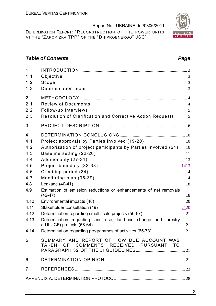DETERMINATION REPORT: "RECONSTRUCTION OF THE POWER UNITS AT THE "ZAPORIZKA TPP" OF THE "DNIPROENERGO" JSC"

# **Table of Contents** *Page Page Page Page Page Page*

| $\mathbf{1}$<br>1.1<br>1.2                         | Objective<br>Scope                                                                                                                                                                                                                                   | 3<br>3                                     |
|----------------------------------------------------|------------------------------------------------------------------------------------------------------------------------------------------------------------------------------------------------------------------------------------------------------|--------------------------------------------|
| 1.3                                                | Determination team                                                                                                                                                                                                                                   | 3                                          |
| $\overline{2}$<br>2.1<br>2.2<br>2.3                | <b>Review of Documents</b><br>Follow-up Interviews<br>Resolution of Clarification and Corrective Action Requests                                                                                                                                     | $\overline{4}$<br>$\overline{4}$<br>5<br>5 |
| 3                                                  |                                                                                                                                                                                                                                                      |                                            |
| 4<br>4.1<br>4.2<br>4.3<br>4.4<br>4.5<br>4.6<br>4.7 | Project approvals by Parties involved (19-20)<br>Authorization of project participants by Parties involved (21)<br>Baseline setting (22-26)<br>Additionality (27-31)<br>Project boundary (32-33)<br>Crediting period (34)<br>Monitoring plan (35-39) | 10<br>10<br>11<br>13<br>1443<br>14<br>14   |
| 4.8                                                | Leakage (40-41)                                                                                                                                                                                                                                      | 18                                         |
| 4.9                                                | Estimation of emission reductions or enhancements of net removals<br>$(42-47)$                                                                                                                                                                       | 18                                         |
| 4.10<br>4.11<br>4.12<br>4.13                       | Environmental impacts (48)<br>Stakeholder consultation (49)<br>Determination regarding small scale projects (50-57)<br>Determination regarding land use, land-use change and forestry<br>(LULUCF) projects (58-64)                                   | 20<br>2120<br>21<br>21                     |
|                                                    | 4.14 Determination regarding programmes of activities (65-73)                                                                                                                                                                                        | 21                                         |
| 5                                                  | SUMMARY AND REPORT OF HOW DUE ACCOUNT WAS<br>TAKEN OF COMMENTS RECEIVED PURSUANT TO                                                                                                                                                                  |                                            |
| 6                                                  |                                                                                                                                                                                                                                                      |                                            |
| $\overline{7}$                                     |                                                                                                                                                                                                                                                      |                                            |
|                                                    |                                                                                                                                                                                                                                                      |                                            |
|                                                    |                                                                                                                                                                                                                                                      |                                            |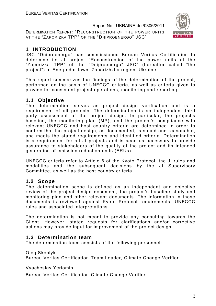DETERMINATION REPORT: "RECONSTRUCTION OF THE POWER UNITS AT THE "ZAPORIZKA TPP" OF THE "DNIPROENERGO" JSC"



# **1 INTRODUCTION**

JSC "Dniproenergo" has commissioned Bureau Veritas Certification to determine its JI project "Reconstruction of the power units at the "Zaporizka TPP" of the "Dniproenergo" JSC" (hereafter called "the project") at Energodar town, Zaporizhzha region, Ukraine.

This report summarizes the findings of the determination of the project, performed on the basis of UNFCCC criteria, as well as criteria given to provide for consistent project operations, monitoring and reporting.

# **1.1 Objective**

The determination serves as project design verification and is a requirement of all projects. The determination is an independent third party assessment of the project design. In particular, the project's baseline, the monitoring plan (MP), and the project's compliance with relevant UNFCCC and host country criteria are determined in order to confirm that the project design, as documented, is sound and reasonable, and meets the stated requirements and identified criteria. Determination is a requirement for all JI projects and is seen as necessary to provide assurance to stakeholders of the quality of the project and its intended generation of emission reduction units (ERUs).

UNFCCC criteria refer to Article 6 of the Kyoto Protocol, the JI rules and modalities and the subsequent decisions by the JI Supervisory Committee, as well as the host country criteria.

# **1.2 Scope**

The determination scope is defined as an independent and objective review of the project design document, the project's baseline study and monitoring plan and other relevant documents. The information in these documents is reviewed against Kyoto Protocol requirements, UNFCCC rules and associated interpretations.

The determination is not meant to provide any consulting towards the Client. However, stated requests for clarifications and/or corrective actions may provide input for improvement of the project design.

# **1.3 Determination team**

The determination team consists of the following personnel:

Oleg Skoblyk

Bureau Veritas Certification Team Leader, Climate Change Verifier

Vyacheslav Yeriomin

Bureau Veritas Certification Climate Change Verifier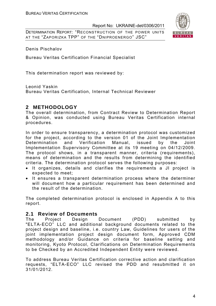DETERMINATION REPORT: "RECONSTRUCTION OF THE POWER UNITS AT THE "ZAPORIZKA TPP" OF THE "DNIPROENERGO" JSC"



Denis Pischalov

Bureau Veritas Certification Financial Specialist

This determination report was reviewed by:

Leonid Yaskin

Bureau Veritas Certification, Internal Technical Reviewer

# **2 METHODOLOGY**

The overall determination, from Contract Review to Determination Report & Opinion, was conducted using Bureau Veritas Certification internal procedures.

In order to ensure transparency, a determination protocol was customized for the project, according to the version 01 of the Joint Implementation Determination and Verification Manual, issued by the Joint Implementation Supervisory Committee at its 19 meeting on 04/12/2009. The protocol shows, in a transparent manner, criteria (requirements), means of determination and the results from determining the identified criteria. The determination protocol serves the following purposes:

- It organizes, details and clarifies the requirements a JI project is expected to meet;
- It ensures a transparent determination process where the determiner will document how a particular requirement has been determined and the result of the determination.

The completed determination protocol is enclosed in Appendix A to this report.

# **2.1 Review of Documents**

The Project Design Document (PDD) submitted by "ELTA-ECO" LLC and additional background documents related to the project design and baseline, i.e. country Law, Guidelines for users of the joint implementation project design document form, Approved CDM methodology and/or Guidance on criteria for baseline setting and monitoring, Kyoto Protocol, Clarifications on Determination Requirements to be Checked by an Accredited Independent Entity were reviewed.

To address Bureau Veritas Certification corrective action and clarification requests, "ELTA-ECO" LLC revised the PDD and resubmitted it on 31/01/2012.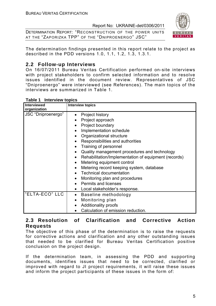DETERMINATION REPORT: "RECONSTRUCTION OF THE POWER UNITS AT THE "ZAPORIZKA TPP" OF THE "DNIPROENERGO" JSC"



The determination findings presented in this report relate to the project as described in the PDD versions 1.0, 1.1, 1.2, 1.3, 1.3.1.

# **2.2 Follow-up Interviews**

On 16/07/2011 Bureau Veritas Certification performed on-site interviews with project stakeholders to confirm selected information and to resolve issues identified in the document review. Representatives of JSC "Dniproenergo" were interviewed (see References). The main topics of the interviews are summarized in Table 1.

| Table 1 Interview topics |  |
|--------------------------|--|
|                          |  |
|                          |  |

| <b>Interviewed</b><br>organization | <b>Interview topics</b>                                                                                                                                                                                                                                                                                                                                                                                                                                                                                                                                                                                                                                       |
|------------------------------------|---------------------------------------------------------------------------------------------------------------------------------------------------------------------------------------------------------------------------------------------------------------------------------------------------------------------------------------------------------------------------------------------------------------------------------------------------------------------------------------------------------------------------------------------------------------------------------------------------------------------------------------------------------------|
| JSC "Dniproenergo"                 | Project history<br>$\bullet$<br>Project approach<br>Project boundary<br>$\bullet$<br>Implementation schedule<br>$\bullet$<br>Organizational structure<br>$\bullet$<br>Responsibilities and authorities<br>$\bullet$<br>Training of personnel<br>$\bullet$<br>Quality management procedures and technology<br>$\bullet$<br>Rehabilitation/Implementation of equipment (records)<br>$\bullet$<br>Metering equipment control<br>$\bullet$<br>Metering record keeping system, database<br>$\bullet$<br><b>Technical documentation</b><br>Monitoring plan and procedures<br>$\bullet$<br><b>Permits and licenses</b><br>Local stakeholder's response.<br>$\bullet$ |
| "ELTA-ECO" LLC                     | Baseline methodology<br>$\bullet$<br>Monitoring plan<br>$\bullet$<br><b>Additionality proofs</b><br>$\bullet$<br>Calculation of emission reduction.                                                                                                                                                                                                                                                                                                                                                                                                                                                                                                           |

# **2.3 Resolution of Clarification and Corrective Action Requests**

The objective of this phase of the determination is to raise the requests for corrective actions and clarification and any other outstanding issues that needed to be clarified for Bureau Veritas Certification positive conclusion on the project design.

If the determination team, in assessing the PDD and supporting documents, identifies issues that need to be corrected, clarified or improved with regard to JI project requirements, it will raise these issues and inform the project participants of these issues in the form of: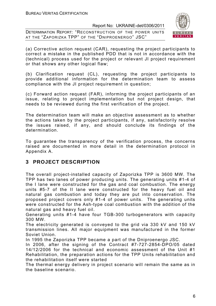DETERMINATION REPORT: "RECONSTRUCTION OF THE POWER UNITS AT THE "ZAPORIZKA TPP" OF THE "DNIPROENERGO" JSC"



(a) Corrective action request (CAR), requesting the project participants to correct a mistake in the published PDD that is not in accordance with the (technical) process used for the project or relevant JI project requirement or that shows any other logical flaw;

(b) Clarification request (CL), requesting the project participants to provide additional information for the determination team to assess compliance with the JI project requirement in question;

(c) Forward action request (FAR), informing the project participants of an issue, relating to project implementation but not project design, that needs to be reviewed during the first verification of the project.

The determination team will make an objective assessment as to whether the actions taken by the project participants, if any, satisfactorily resolve the issues raised, if any, and should conclude its findings of the determination.

To guarantee the transparency of the verification process, the concerns raised are documented in more detail in the determination protocol in Appendix A.

# **3 PROJECT DESCRIPTION**

The overall project-installed capacity of Zaporizka TPP is 3600 MW. The TPP has two lanes of power producing units. The generating units #1-4 of the І lane were constructed for the gas and coal combustion. The energy units #5-7 of the ІІ lane were constructed for the heavy fuel oil and natural gas combustion and today they are put into conservation. The proposed project covers only #1-4 of power units. The generating units were constructed for the Ash-type coal combustion with the addition of the natural gas and heavy fuel oil.

Generating units #1-4 have four TGB-300 turbogenerators with capacity 300 MW.

The electricity generated is conveyed to the grid via 330 kV and 150 kV transmission lines. All major equipment was manufactured in the former Soviet Union.

In 1995 the Zaporizka TPP became a part of the Dniproenergo JSC.

In 2006, after the signing of the Contract #7-727-2854-DPО/05 dated 14/12/2006 for the technical and economic assessment of the Unit #1 Rehabilitation, the preparation actions for the TPP Units rehabilitation and the rehabilitation itself were started

The thermal energy delivery in project scenario will remain the same as in the baseline scenario.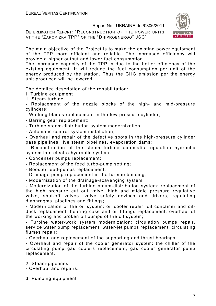DETERMINATION REPORT: "RECONSTRUCTION OF THE POWER UNITS AT THE "ZAPORIZKA TPP" OF THE "DNIPROENERGO" JSC"



The main objective of the Project is to make the existing power equipment of the TPP more efficient and reliable. The increased efficiency will provide a higher output and lower fuel consumption.

The increased capacity of the TPP is due to the better efficiency of the existing equipment. It will reduce the fuel consumption per unit of the energy produced by the station. Thus the GHG emission per the energy unit produced will be lowered.

The detailed description of the rehabilitation:

- I. Turbine equipment
- 1. Steam turbine

**-** Replacement of the nozzle blocks of the high- and mid-pressure cylinders;

- Working blades replacement in the low-pressure cylinder;
- Barring gear replacement;
- Turbine steam-distribution system modernization;
- Automatic control system installation;

**-** Overhaul and repair of the defective spots in the high-pressure cylinder pass pipelines, live steam pipelines, evaporation dams;

**-** Reconstruction of the steam turbine automatic regulation hydraulic system into electro-hydraulic system;

- Condenser pumps replacement;
- Replacement of the feed turbo-pump setting;
- Booster feed-pumps replacement;
- Drainage pump replacement in the turbine building;
- Modernization of the drainage-scavenging system;

**-** Modernization of the turbine steam-distribution system: replacement of the high pressure cut out valve, high and middle pressure regulative valve, shut-off valves, valve safety devices and drivers, regulating diaphragms, pipelines and fittings;

**-** Modernization of the oil system: oil cooler repair, oil container and oilduck replacement, bearing case and oil fittings replacement, overhaul of the working and broken oil pumps of the oil system;

**-** Turbine water-work system modernization: circulation pumps repair, service water pump replacement, water-jet pumps replacement, circulating flumes repair;

**-** Overhaul and replacement of the supporting and thrust bearings;

**-** Overhaul and repair of the cooler generator system: the chiller of the circulating pump gas coolers replacement, gas cooler generator pump replacement.

2. Steam-pipelines

**-** Overhaul and repairs.

3. Pumping equipment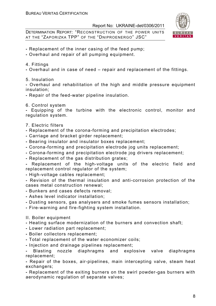DETERMINATION REPORT: "RECONSTRUCTION OF THE POWER UNITS AT THE "ZAPORIZKA TPP" OF THE "DNIPROENERGO" JSC"



- Replacement of the inner casing of the feed pump;
- Overhaul and repair of all pumping equipment.
- 4. Fittings
- Overhaul and in case of need repair and replacement of the fittings.
- 5. Insulation

**-** Overhaul and rehabilitation of the high and middle pressure equipment insulation;

- Repair of the feed-water pipeline insulation.
- 6. Control system

**-** Equipping of the turbine with the electronic control, monitor and regulation system.

- 7. Electric filters
- Replacement of the corona-forming and precipitation electrodes;
- Carriage and bracket girder replacement;
- Bearing insulator and insulator boxes replacement;
- Corona-forming and precipitation electrode jog units replacement;
- Corona-forming and precipitation electrode jog drivers replacement;
- Replacement of the gas distribution grates;
- Replacement of the high-voltage units of the electric field and replacement control regulator of the system;
- High-voltage cables replacement;

**-** Revision of the thermal insulation and anti-corrosion protection of the cases metal construction renewal;

- Bunkers and cases defects removal;
- Ashes level indicator installation;
- Dusting sensors, gas analysers and smoke fumes sensors installation;
- Fire-warning and fire-fighting system installation.

#### II. Boiler equipment

- Heating surface modernization of the burners and convection shaft;
- Lower radiation part replacement;
- Boiler collectors replacement;
- Total replacement of the water economizer coils;
- Injection and drainage pipelines replacement;

**-** Blasting nozzle diaphragms and explosive valve diaphragms replacement;

**-** Repair of the boxes, air-pipelines, main intercepting valve, steam heat exchangers;

**-** Replacement of the exiting burners on the swirl powder-gas burners with aerodynamic regulation of separate valves;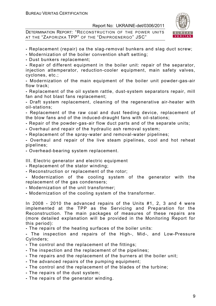DETERMINATION REPORT: "RECONSTRUCTION OF THE POWER UNITS AT THE "ZAPORIZKA TPP" OF THE "DNIPROENERGO" JSC"



- Replacement (repair) oа the slag-removal bunkers and slag duct screw;
- Modernization of the boiler convention shaft setting;
- Dust bunkers replacement;

**-** Repair of different equipment in the boiler unit: repair of the separator, injection attemperator, reduction-cooler equipment, main safety valves, cyclones, etc.;

**-** Modernization of the main equipment of the boiler unit powder-gas-air flow track;

**-** Replacement of the oil system rattle, dust-system separators repair, mill fan and hot blast fans replacement;

**-** Draft system replacement, cleaning of the regenerative air-heater with oil-stations;

**-** Replacement of the raw coal and dust feeding device, replacement of the blow fans and of the induced-draught fans with oil-stations;

- Repair of the powder-gas-air flow duct parts and of the separate units;
- Overhaul and repair of the hydraulic ash removal system;
- Replacement of the spray-water and removal-water pipelines;

**-** Overhaul and repair of the live steam pipelines, cool and hot reheat pipelines;

**-** Overhead-bearing system replacement.

III. Electric generator and electric equipment

- Replacement of the stator winding;
- Reconstruction or replacement of the rotor;

**-** Modernization of the cooling system of the generator with the replacement of the gas condensers;

- Modernization of the unit transformer;
- Modernization of the cooling system of the transformer.

In 2008 - 2010 the advanced repairs of the Units #1, 2, 3 and 4 were implemented at the TPP as the Servicing and Preparation for the Reconstruction. The main packages of measures of these repairs are (more detailed explanation will be provided in the Monitoring Report for this period):

**-** The repairs of the heating surfaces of the boiler units:

**-** The inspection and repairs of the High-, Mid-, and Low-Pressure Cylinders;

- The control and the replacement of the fittings;
- The inspection and the replacement of the pipelines;
- The repairs and the replacement of the burners at the boiler unit;
- The advanced repairs of the pumping equipment;
- The control and the replacement of the blades of the turbine;
- The repairs of the dust system;
- The repairs of the generator winding.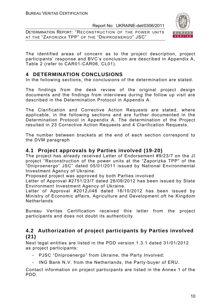DETERMINATION REPORT: "RECONSTRUCTION OF THE POWER UNITS AT THE "ZAPORIZKA TPP" OF THE "DNIPROENERGO" JSC"



The identified areas of concern as to the project description, project participants' response and BVC's conclusion are described in Appendix A, Table 2 (refer to CAR01-CAR06, CL01).

# **4 DETERMINATION CONCLUSIONS**

In the following sections, the conclusions of the determination are stated.

The findings from the desk review of the original project design documents and the findings from interviews during the follow up visit are described in the Determination Protocol in Appendix A.

The Clarification and Corrective Action Requests are stated, where applicable, in the following sections and are further documented in the Determination Protocol in Appendix A. The determination of the Project resulted in 23 Corrective Action Requests and 4 Clarification Requests.

The number between brackets at the end of each section correspond to the DVM paragraph

# **4.1 Project approvals by Parties involved (19-20)**

The project has already received Letter of Endorsement #9/23/7 on the JI project "Reconstruction of the power units at the "Zaporizka TPP" of the "Dniproenergo" JSC" dated 05/01/2011 issued by National Environmental Investment Agency of Ukraine.

Proposed project was approved by both Parties involved

Letter of Approval #2751/23/7 dated 26/09/2012 has been issued by State Environment Investment Agency of Ukraine.

Letter of Approval #2012JI48 dated 18/10/2012 has been issued by Ministry of Economic affairs, Agriculture and Development oft he Kingdom Netherlands

Bureau Veritas Certification received this letter from the project participants and does not doubt its authenticity.

# **4.2 Authorization of project participants by Parties involved (21)**

Next legal entities are listed in the PDD version 1.3.1 dated 31/01/2012 as project participants:

- PJSC "Dniproenergo" from Ukraine, the Party Involved;
- ING Bank N.V. from the Netherlands, the Party-buyer of ERU.

Contact information on project participants are listed in the Annex 1 of the PDD.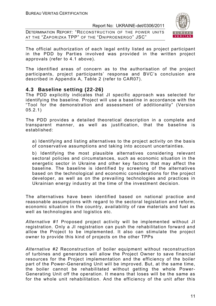DETERMINATION REPORT: "RECONSTRUCTION OF THE POWER UNITS AT THE "ZAPORIZKA TPP" OF THE "DNIPROENERGO" JSC"



The official authorization of each legal entity listed as project participant in the PDD by Parties involved was provided in the written project approvals (refer to 4.1 above).

The identified areas of concern as to the authorisation of the project participants, project participants' response and BVC's conclusion are described in Appendix A, Table 2 (refer to CAR07).

# **4.3 Baseline setting (22-26)**

The PDD explicitly indicates that JI specific approach was selected for identifying the baseline. Project will use a baseline in accordance with the "Tool for the demonstration and assessment of additionality" (Version 05.2.1)

The PDD provides a detailed theoretical description in a complete and transparent manner, as well as justification, that the baseline is established:

a) Identifying and listing alternatives to the project activity on the basis of conservative assumptions and taking into account uncertainties.

b) Identifying the most plausible alternatives considering relevant sectoral policies and circumstances, such as economic situation in the energetic sector in Ukraine and other key factors that may affect the baseline. The baseline is identified by screening of the alternatives based on the technological and economic considerations for the project developer, as well as on the prevailing technologies and practices in Ukrainian energy industry at the time of the investment decision.

The alternatives have been identified based on national practice and reasonable assumptions with regard to the sectoral legislation and reform, economic situation in the country, availability of raw materials and fuel as well as technologies and logistics etc.

*Alternative #1* Proposed project activity will be implemented without JI registration. Only a JI registration can push the rehabilitation forward and allow the Project to be implemented. It also can stimulate the project owner to provide this kind of projects on the other TPPs

*Alternative #2* Reconstruction of boiler equipment without reconstruction of turbines and generators will allow the Project Owner to save financial resources for the Project implementation and the efficiency of the boiler part of the Power-Generating Unit will be improved. But, at the same time, the boiler cannot be rehabilitated without getting the whole Power-Generating Unit off the operation. It means that loses will be the same as for the whole unit rehabilitation. And the efficiency of the unit after this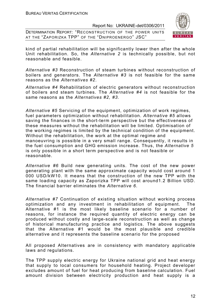DETERMINATION REPORT: "RECONSTRUCTION OF THE POWER UNITS AT THE "ZAPORIZKA TPP" OF THE "DNIPROENERGO" JSC"



kind of partial rehabilitation will be significantly lower then after the whole Unit rehabilitation. So, the *Alternative 2* is technically possible, but not reasonable and feasible.

*Alternative #3* Reconstruction of steam turbines without reconstruction of boilers and generators. The *Alternative #3* is not feasible for the same reasons as the *Alternatives #2*.

*Alternative #4* Rehabilitation of electric generators without reconstruction of boilers and steam turbines. The *Alternative #4* is not feasible for the same reasons as the *Alternatives #2, #3*.

*Alternative #5* Servicing of the equipment, optimization of work regimes, fuel parameters optimization without rehabilitation. *Alternative #5* allows saving the finances in the short-term perspective but the effectiveness of these measures without the rehabilitation will be limited. Optimisation of the working regimes is limited by the technical condition of the equipment. Without the rehabilitation, the work at the optimal regime and manoeuvring is possible in a very small range. Consequently, it results in the fuel consumption and GHG emission increase. Thus, the *Alternative 5*  is only possible in a short term perspective and is not feasible or reasonable.

*Alternative #6* Build new generating units. The cost of the new power generating plant with the same approximate capacity would cost around 1 000 USD/kW10. It means that the construction of the new TPP with the same loading capacity as Zaporizka TPP will cost around1.2 Billion USD. The financial barrier eliminates the *Alternative 6*.

*Alternative #7* Continuation of existing situation without working process optimization and any investment in rehabilitation of equipment. The Alternative #1 is the most likely baseline scenario for a number of reasons, for instance the required quantity of electric energy can be produced without costly and large-scale reconstruction as well as change of historical manufacturing practice and logistics. The above suggests that the Alternative #1 would be the most plausible and credible alternative and it represents the baseline scenario for the proposed

All proposed Alternatives are in consistency with mandatory applicable laws and regulations.

The TPP supply electric energy for Ukraine national grid and heat energy that supply to local consumers for household heating. Project developer excludes amount of fuel for heat producing from baseline calculation. Fuel amount division between electricity production and heat supply is a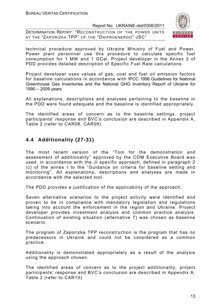DETERMINATION REPORT: "RECONSTRUCTION OF THE POWER UNITS AT THE "ZAPORIZKA TPP" OF THE "DNIPROENERGO" JSC"



technical procedure approved by Ukraine Ministry of Fuel and Power. Power plant personnel use this procedure to calculate specific fuel consumption for 1 MW and 1 GCal. Project developer in the Annex 2 of PDD provides detailed description of Specific Fuel Rate calculations.

Project developer uses values of gas, coal and fuel oil emission factors for baseline calculations in accordance with IPCC 1996 Guidelines for National Greenhouse Gas Inventories and the National GHG Inventory Report of Ukraine for 1990 – 2009 years

All explanations, descriptions and analyses pertaining to the baseline in the PDD were found adequate and the baseline is identified appropriately.

The identified areas of concern as to the baseline settings, project participants' response and BVC's conclusion are described in Appendix A, Table 2 (refer to CAR08, CAR09).

# **4.4 Additionality (27-31)**

The most recent version of the "Tool for the demonstration and assessment of additionality" approved by the CDM Executive Board was used, in accordance with the JI specific approach, defined in paragraph 2 (c) of the annex I to the "Guidance on criteria for baseline setting and monitoring". All explanations, descriptions and analyses are made in accordance with the selected tool.

The PDD provides a justification of the applicability of the approach.

Seven alternative scenarios to the project activity were identified and proven to be in compliance with mandatory legislation and regulations taking into account the enforcement in the region and Ukraine. Project developer provides investment analysis and common practice analysis. Continuation of existing situation (alternative 7) was chosen as baseline scenario.

The program of Zaporizka TPP reconstruction is the program that has no predecessors in Ukraine and could not be considered as a common practice.

Additionality is demonstrated appropriately as a result of the analysis using the approach chosen.

The identified areas of concern as to the project additionality, project participants' response and BVC's conclusion are described in Appendix A, Table 2 (refer to CAR10)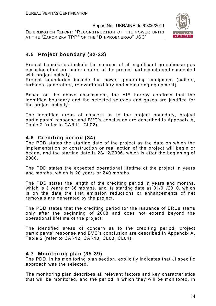DETERMINATION REPORT: "RECONSTRUCTION OF THE POWER UNITS AT THE "ZAPORIZKA TPP" OF THE "DNIPROENERGO" JSC"



# **4.5 Project boundary (32-33)**

Project boundaries include the sources of all significant greenhouse gas emissions that are under control of the project participants and connected with project activity.

Project boundaries include the power generating equipment (boilers, turbines, generators, relevant auxiliary and measuring equipment).

Based on the above assessment, the AIE hereby confirms that the identified boundary and the selected sources and gases are justified for the project activity.

The identified areas of concern as to the project boundary, project participants' response and BVC's conclusion are described in Appendix A, Table 2 (refer to CAR11, CL02).

# **4.6 Crediting period (34)**

The PDD states the starting date of the project as the date on which the implementation or construction or real action of the project will begin or began, and the starting date is 28/12/2006, which is after the beginning of 2000.

The PDD states the expected operational lifetime of the project in years and months, which is 20 years or 240 months.

The PDD states the length of the crediting period in years and months, which is 3 years or 36 months, and its starting date as 01/01/2010, which is on the date the first emission reductions or enhancements of net removals are generated by the project.

The PDD states that the crediting period for the issuance of ERUs starts only after the beginning of 2008 and does not extend beyond the operational lifetime of the project.

The identified areas of concern as to the crediting period, project participants' response and BVC's conclusion are described in Appendix A, Table 2 (refer to CAR12, CAR13, CL03, CL04).

# **4.7 Monitoring plan (35-39)**

The PDD, in its monitoring plan section, explicitly indicates that JI specific approach was the selected.

The monitoring plan describes all relevant factors and key characteristics that will be monitored, and the period in which they will be monitored, in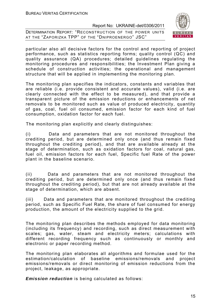DETERMINATION REPORT: "RECONSTRUCTION OF THE POWER UNITS AT THE "ZAPORIZKA TPP" OF THE "DNIPROENERGO" JSC"



particular also all decisive factors for the control and reporting of project performance, such as statistics reporting forms; quality control (QC) and quality assurance (QA) procedures; detailed guidelines regulating the monitoring procedures and responsibilities; the Investment Plan giving a schedule of construction activities; the operational and management structure that will be applied in implementing the monitoring plan.

The monitoring plan specifies the indicators, constants and variables that are reliable (i.e. provide consistent and accurate values), valid (i.e. are clearly connected with the effect to be measured), and that provide a transparent picture of the emission reductions or enhancements of net removals to be monitored such as value of produced electricity, quantity of gas, coal, fuel oil consumed, emission factor for each kind of fuel consumption, oxidation factor for each fuel.

The monitoring plan explicitly and clearly distinguishes:

(i) Data and parameters that are not monitored throughout the crediting period, but are determined only once (and thus remain fixed throughout the crediting period), and that are available already at the stage of determination, such as oxidation factors for coal, natural gas, fuel oil, emission factors for each fuel, Specific fuel Rate of the power plant in the baseline scenario.

(ii) Data and parameters that are not monitored throughout the crediting period, but are determined only once (and thus remain fixed throughout the crediting period), but that are not already available at the stage of determination, which are absent.

(iii) Data and parameters that are monitored throughout the crediting period, such as Specific Fuel Rate, the share of fuel consumed for energy production, the amount of the electricity supplied to the grid*.*

The monitoring plan describes the methods employed for data monitoring (including its frequency) and recording, such as direct measurement with scales; gas, water, steam and electricity meters; calculations with different recording frequency such as continuously or monthly and electronic or paper recording method.

The monitoring plan elaborates all algorithms and formulae used for the estimation/calculation of baseline emissions/removals and project emissions/removals or direct monitoring of emission reductions from the project, leakage, as appropriate.

*Emission reduction* is being calculated as follows: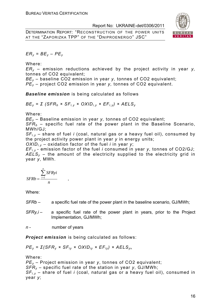DETERMINATION REPORT: "RECONSTRUCTION OF THE POWER UNITS AT THE "ZAPORIZKA TPP" OF THE "DNIPROENERGO" JSC"



 $ER_v = BE_v - PE_v$ 

Where:

*ERy* – emission reductions achieved by the project activity in year *y,*  tonnes of CO2 equivalent;

*BEy* – baseline CO2 emission in year *y,* tonnes of CO2 equivalent;

*PEy* – project CO2 emission in year *y,* tonnes of CO2 equivalent.

*Baseline emission* is being calculated as follows

*BE<sub>v</sub>* = *Σ* (*SFR<sub>b</sub>* × *SF<sub>i, v</sub>* × *OXID<sub>i, y</sub>* × *EF<sub>i, y</sub>*) × *AELS<sub>y</sub>* 

Where:

*BEy* – Baseline emission in year *y,* tonnes of CO2 equivalent;

 $SFR<sub>b</sub>$  – specific fuel rate of the power plant in the Baseline Scenario, MWh/GJ;

*SFi,y* – share of fuel *i* (coal, natural gas or a heavy fuel oil), consumed by the project activity power plant in year *y* in energy units;

*OXIDi,y* – oxidation factor of the fuel *i* in year *y*;

*EFi,y* - emission factor of the fuel *i* consumed in year *y,* tonnes of CO2/GJ;  $AELS<sub>v</sub>$  – the amount of the electricity supplied to the electricity grid in year *y*, MWh.

$$
SFRb = \frac{\sum_{i=1}^{n} SFRyi}{n},
$$

Where:

- *SFRb* a specific fuel rate of the power plant in the baseline scenario, GJ/MWh;
- *SFRy,i* a specific fuel rate of the power plant in years, prior to the Project Implementation, GJ/MWh;

*n* - number of years

*Project emission* is being calculated as follows:

*PE<sub>v</sub>* = *Σ*(*SFR<sub>v</sub>* × *SF<sub>iv</sub>* × *OXID<sub>iv</sub>* × *EF<sub>iv</sub>*) × *AELS<sub>v</sub>*,

Where:

*PEy* – Project emission in year *y*, tonnes of CO2 equivalent; *SFRy* – specific fuel rate of the station in year *y*, GJ/MWh; *SFi,y* – share of fuel *i* (coal, natural gas or a heavy fuel oil), consumed in year *y*;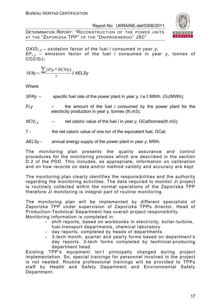DETERMINATION REPORT: "RECONSTRUCTION OF THE POWER UNITS AT THE "ZAPORIZKA TPP" OF THE "DNIPROENERGO" JSC"



*OXIDi,y* – oxidation factor of the fuel *i* consumed in year *y*;  $EF_{i,v}$  – emission factor of the fuel *i* consumed in year *v*, tonnes of CO2/GJ;

$$
SFRy = \frac{\sum (Fiy * NCViy)}{7} \textit{I AELSy}
$$

**Where** 

- *SFRy* specific fuel rate of the power plant in year *y,* t.e.f./MWh. (GJ/MWh);
- *Fi,y*  the amount of the fuel *i* consumed by the power plant for the electricity production in year *y,* tonnes (th.m3);
- $NCV_i$ ,  $\qquad -$  net caloric value of the fuel *i* in year *y*, GCal/tonnes(th.m3);
- 7 the net caloric value of one ton of the equivalent fuel, GCal;
- *AELSy* annual energy supply of the power plant in year *y,* MWh.

The monitoring plan presents the quality assurance and control procedures for the monitoring process which are described in the section D.2 of the PDD. This includes, as appropriate, information on calibration and on how records on data and/or method validity and accuracy are kept

The monitoring plan clearly identifies the responsibilities and the authority regarding the monitoring activities. The data required to monitor JI project is routinely collected within the normal operations of the Zaporizka TPP therefore JI monitoring is integral part of routine monitoring.

The monitoring plan will be implemented by different specialists of Zaporizka TPP under supervision of Zaporizka TPPs director. Head of Production-Technical Department has overall project responsibility. Monitoring information is completed in:

- shift reports, based on workbooks in electricity, boiler-turbine, fuel-transport departments, chemical laboratory
- day reports, completed by heads of departments
- 3-tech month, quarter and yearly forms based on department's day reports. 3-tech forms completed by technical-producing department head.

Existing TPP's equipment isn't principally changed during project implementation. So, special trainings for personnel involved in the project is not needed. Routine professional trainings will be provided to TPPs staff by Health and Safety Department and Environmental Safety Department.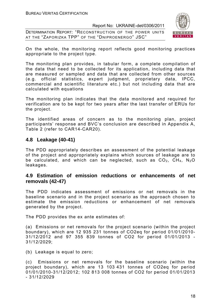DETERMINATION REPORT: "RECONSTRUCTION OF THE POWER UNITS AT THE "ZAPORIZKA TPP" OF THE "DNIPROENERGO" JSC"



On the whole, the monitoring report reflects good monitoring practices appropriate to the project type.

The monitoring plan provides, in tabular form, a complete compilation of the data that need to be collected for its application, including data that are measured or sampled and data that are collected from other sources (e.g. official statistics, expert judgment, proprietary data, IPCC, commercial and scientific literature etc.) but not including data that are calculated with equations

The monitoring plan indicates that the data monitored and required for verification are to be kept for two years after the last transfer of ERUs for the project.

The identified areas of concern as to the monitoring plan, project participants' response and BVC's conclusion are described in Appendix A, Table 2 (refer to CAR14-CAR20).

# **4.8 Leakage (40-41)**

The PDD appropriately describes an assessment of the potential leakage of the project and appropriately explains which sources of leakage are to be calculated, and which can be neglected, such as  $CO<sub>2</sub>$ ,  $CH<sub>4</sub>$ , N<sub>2</sub>O leakages.

# **4.9 Estimation of emission reductions or enhancements of net removals (42-47)**

The PDD indicates assessment of emissions or net removals in the baseline scenario and in the project scenario as the approach chosen to estimate the emission reductions or enhancement of net removals generated by the project.

The PDD provides the ex ante estimates of:

(a) Emissions or net removals for the project scenario (within the project boundary), which are 12 935 231 tonnes of CO2eq for period 01/01/2010- 31/12/2012 and 97 355 839 tonnes of CO2 for period 01/01/2013 - 31/12/2029;

(b) Leakage is equal to zero;

(c) Emissions or net removals for the baseline scenario (within the project boundary), which are 13 103 431 tonnes of CO2eq for period 01/01/2010-31/12/2012; 102 813 008 tonnes of CO2 for period 01/01/2013 - 31/12/2029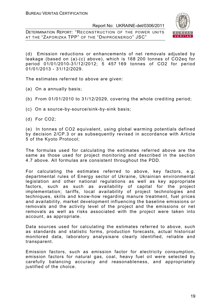DETERMINATION REPORT: "RECONSTRUCTION OF THE POWER UNITS AT THE "ZAPORIZKA TPP" OF THE "DNIPROENERGO" JSC"



(d) Emission reductions or enhancements of net removals adjusted by leakage (based on (a)-(c) above), which is 168 200 tonnes of CO2eq for period 01/01/2010-31/12/2012; 5 457 169 tonnes of CO2 for period 01/01/2013 - 31/12/2029.

The estimates referred to above are given:

(a) On a annually basis;

- (b) From 01/01/2010 to 31/12/2029, covering the whole crediting period;
- (c) On a source-by-source/sink-by-sink basis;
- (d) For CO2;

(e) In tonnes of CO2 equivalent, using global warming potentials defined by decision 2/CP.3 or as subsequently revised in accordance with Article 5 of the Kyoto Protocol;

The formulas used for calculating the estimates referred above are the same as those used for project monitoring and described in the section 4.7 above. All formulas are consistent throughout the PDD.

For calculating the estimates referred to above, key factors, e.g. departmental rules of Energy sector of Ukraine, Ukrainian environmental legislation and other national regulations as well as key appropriate factors, such as such as availability of capital for the project implementation; tariffs, local availability of project technologies and techniques, skills and know-how regarding manure treatment, fuel prices and availability, market development influencing the baseline emissions or removals and the activity level of the project and the emissions or net removals as well as risks associated with the project were taken into account, as appropriate.

Data sources used for calculating the estimates referred to above, such as standards and statistic forms, production forecasts, actual historical monitored data, laboratory analysisare clearly identified, reliable and transparent.

Emission factors, such as emission factor for electricity consumption, emission factors for natural gas, coal, heavy fuel oil were selected by carefully balancing accuracy and reasonableness, and appropriately justified of the choice.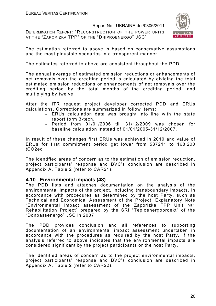DETERMINATION REPORT: "RECONSTRUCTION OF THE POWER UNITS AT THE "ZAPORIZKA TPP" OF THE "DNIPROENERGO" JSC"



The estimation referred to above is based on conservative assumptions and the most plausible scenarios in a transparent manner.

The estimates referred to above are consistent throughout the PDD.

The annual average of estimated emission reductions or enhancements of net removals over the crediting period is calculated by dividing the total estimated emission reductions or enhancements of net removals over the crediting period by the total months of the crediting period, and multiplying by twelve.

After the ITR request project developer corrected PDD and ERUs calculations. Corrections are summarized in follow items:

- ERUs calculation data was brought into line with the state report form 3-tech.
- Period from 01/01/2006 till 31/12/2009 was chosen for baseline calculation instead of 01/01/2005-31/12/2007.

In result of these changes first ERUs was achieved in 2010 and value of ERUs for first commitment period get lower from 537211 to 168 200 tCO2eq

The identified areas of concern as to the estimation of emission reduction, project participants' response and BVC's conclusion are described in Appendix A, Table 2 (refer to CAR21).

#### **4.10 Environmental impacts (48)**

The PDD lists and attaches documentation on the analysis of the environmental impacts of the project, including transboundary impacts, in accordance with procedures as determined by the host Party, such as Technical and Economical Assessment of the Project, Explanatory Note "Environmental impact assessment of the Zaporizka TPP Unit №1 Rehabilitation Project" prepared by the SRI "Teploenergoproekt" of the "Donbassenergo" JSC in 2007

The PDD provides conclusion and all references to supporting documentation of an environmental impact assessment undertaken in accordance with the procedures as required by the host Party, if the analysis referred to above indicates that the environmental impacts are considered significant by the project participants or the host Party.

The identified areas of concern as to the project environmental impacts, project participants' response and BVC's conclusion are described in Appendix A, Table 2 (refer to CAR22).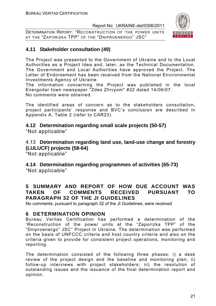DETERMINATION REPORT: "RECONSTRUCTION OF THE POWER UNITS AT THE "ZAPORIZKA TPP" OF THE "DNIPROENERGO" JSC"



# **4.11 Stakeholder consultation (49)**

The Project was presented to the Government of Ukraine and to the Local Authorities as a Project Idea and, later, as the Technical Documentation. The Government and Local Authorities have approved the Project. The Letter of Endorsement has been received from the National Environmental Investments Agency of Ukraine.

The information concerning the Project was published in the local Energodar town newspaper "Zdes Zhivyom" #22 dated 14/06/07. No comments were obtained.

The identified areas of concern as to the stakeholders consultation, project participants' response and BVC's conclusion are described in Appendix A, Table 2 (refer to CAR23).

**4.12 Determination regarding small scale projects (50-57)**  "Not applicable"

4.13 **Determination regarding land use, land-use change and forestry (LULUCF) projects (58-64)**

"Not applicable"

**4.14 Determination regarding programmes of activities (65-73)**  "Not applicable"

# **5 SUMMARY AND REPORT OF HOW DUE ACCOUNT WAS TAKEN OF COMMENTS RECEIVED PURSUANT TO PARAGRAPH 32 OF THE JI GUIDELINES**

No comments, pursuant to paragraph 32 of the JI Guidelines, were received

# **6 DETERMINATION OPINION**

Bureau Veritas Certification has performed a determination of the "Reconstruction of the power units at the "Zaporizka TPP" of the "Dniproenergo" JSC" Project in Ukraine. The determination was performed on the basis of UNFCCC criteria and host country criteria and also on the criteria given to provide for consistent project operations, monitoring and reporting.

The determination consisted of the following three phases: i) a desk review of the project design and the baseline and monitoring plan; ii) follow-up interviews with project stakeholders; iii) the resolution of outstanding issues and the issuance of the final determination report and opinion.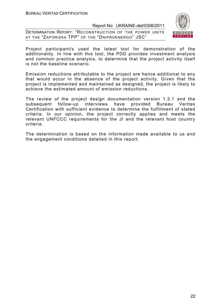DETERMINATION REPORT: "RECONSTRUCTION OF THE POWER UNITS AT THE "ZAPORIZKA TPP" OF THE "DNIPROENERGO" JSC"



Project participant/s used the latest tool for demonstration of the additionality. In line with this tool, the PDD provides investment analysis and common practice analysis, to determine that the project activity itself is not the baseline scenario.

Emission reductions attributable to the project are hence additional to any that would occur in the absence of the project activity. Given that the project is implemented and maintained as designed, the project is likely to achieve the estimated amount of emission reductions.

The review of the project design documentation version 1.3.1 and the subsequent follow-up interviews have provided Bureau Veritas Certification with sufficient evidence to determine the fulfillment of stated criteria. In our opinion, the project correctly applies and meets the relevant UNFCCC requirements for the JI and the relevant host country criteria.

The determination is based on the information made available to us and the engagement conditions detailed in this report.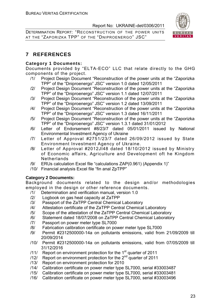DETERMINATION REPORT: "RECONSTRUCTION OF THE POWER UNITS AT THE "ZAPORIZKA TPP" OF THE "DNIPROENERGO" JSC"



# **7 REFERENCES**

# **Category 1 Documents:**

Documents provided by "ELTA-ECO" LLC that relate directly to the GHG components of the project.

- /1/ Project Design Document "Reconstruction of the power units at the "Zaporizka TPP" of the "Dniproenergo" JSC" version 1.0 dated 12/05/2011
- /2/ Project Design Document "Reconstruction of the power units at the "Zaporizka TPP" of the "Dniproenergo" JSC" version 1.1 dated 12/07/2011
- /3/ Project Design Document "Reconstruction of the power units at the "Zaporizka TPP" of the "Dniproenergo" JSC" version 1.2 dated 13/09/2011
- /4/ Project Design Document "Reconstruction of the power units at the "Zaporizka TPP" of the "Dniproenergo" JSC" version 1.3 dated 16/11/2011
- /5/ Project Design Document "Reconstruction of the power units at the "Zaporizka TPP" of the "Dniproenergo" JSC" version 1.3.1 dated 31/01/2012
- /6/ Letter of Endorsement #8/23/7 dated 05/01/2011 issued by National Environmental Investment Agency of Ukraine
- /7/ Letter of Approval #2751/23/7 dated 26/09/2012 issued by State Environment Investment Agency of Ukraine.
- /8/ Letter of Approval #2012JI48 dated 18/10/2012 issued by Ministry of Economic affairs, Agriculture and Development oft he Kingdom **Netherlands**
- /9/ ERUs calculation Excel file "calculations ZAP(0.961) (Appendix 1)"
- /10/ Financial analysis Excel file "fin anal ZpTPP"

# **Category 2 Documents:**

Background documents related to the design and/or methodologies employed in the design or other reference documents.

- /1/ Determination and verification manual, version 1.0
- /2/ Logbook on gas heat capacity at ZaTPP
- /3/ Passport of the ZaTPP Central Chemical Laboratory
- /4/ Attestation certificate of the ZaTPP Central Chemical Laboratory
- /5/ Scope of the attestation of the ZaTPP Central Chemical Laboratory
- /6/ Statement dated 18/07/2008 on ZaTPP Central Chemical Laboratory
- /7/ Passport on power meter type SL7000
- /8/ Fabrication calibration certificate on power meter type SL7000
- /9/ Permit #2312500000-14а on pollutants emissions, valid from 21/09/2009 till 20/09/2014
- /10/ Permit #2312500000-14а on pollutants emissions, valid from 07/05/2009 till 31/12/2016
- $/11/$  Report on environment protection for the 1<sup>st</sup> quarter of 2011
- $/12/$  Report on environment protection for the  $2<sup>nd</sup>$  quarter of 2011
- /13/ Report on environment protection for 2010
- /14/ Calibration certificate on power meter type SL7000, serial #33003487
- /15/ Calibration certificate on power meter type SL7000, serial #33003481
- /16/ Calibration certificate on power meter type SL7000, serial #33003496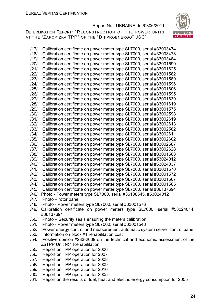DETERMINATION REPORT: "RECONSTRUCTION OF THE POWER UNITS AT THE "ZAPORIZKA TPP" OF THE "DNIPROENERGO" JSC"



/17/ Calibration certificate on power meter type SL7000, serial #33003474 /18/ Calibration certificate on power meter type SL7000, serial #33003478 /19/ Calibration certificate on power meter type SL7000, serial #33003484 /20/ Calibration certificate on power meter type SL7000, serial #33001590 /21/ Calibration certificate on power meter type SL7000, serial #33001625 /22/ Calibration certificate on power meter type SL7000, serial #33001582 /23/ Calibration certificate on power meter type SL7000, serial #33001589 /24/ Calibration certificate on power meter type SL7000, serial #33001596 /25/ Calibration certificate on power meter type SL7000, serial #33001606 /26/ Calibration certificate on power meter type SL7000, serial #33001595 /27/ Calibration certificate on power meter type SL7000, serial #33001630 /28/ Calibration certificate on power meter type SL7000, serial #33001619 /29/ Calibration certificate on power meter type SL7000, serial #33001575 /30/ Calibration certificate on power meter type SL7000, serial #33002598 /31/ Calibration certificate on power meter type SL7000, serial #33002619 /32/ Calibration certificate on power meter type SL7000, serial #33002613 /33/ Calibration certificate on power meter type SL7000, serial #33002582 /34/ Calibration certificate on power meter type SL7000, serial #33002611 /35/ Calibration certificate on power meter type SL7000, serial #33002602 /36/ Calibration certificate on power meter type SL7000, serial #33002587 /37/ Calibration certificate on power meter type SL7000, serial #33002628 /38/ Calibration certificate on power meter type SL7000, serial #33001568 /39/ Calibration certificate on power meter type SL7000, serial #53024012 /40/ Calibration certificate on power meter type SL7000, serial #53024037 /41/ Calibration certificate on power meter type SL7000, serial #33001570 /42/ Calibration certificate on power meter type SL7000, serial #33001572 /43/ Calibration certificate on power meter type SL7000, serial #33001567 /44/ Calibration certificate on power meter type SL7000, serial #33001565 /45/ Calibration certificate on power meter type SL7000, serial #36137694 /46/ Photo - Power meters type SL7000, serial #36138545, #53024012 /47/ Photo – rotor panel /48/ Photo - Power meters type SL7000, serial #33001576 /49/ Calibration certificate on power meters type SL7000, serial #53024014, #36137694 /50/ Photo – Security seals ensuring the meters calibration /51/ Photo - Power meters type SL7000, serial #33001548 /52/ Power energy control and measurement automatic system server control panel /53/ Information on block #1 rehabilitation cost /54/ Positive opinion #233-2009 on the technical and economic assessment of the ZaTPP Unit №1 Rehabilitation /55/ Report on TPP operation for 2006 /56/ Report on TPP operation for 2007 /57/ Report on TPP operation for 2008 /58/ Report on TPP operation for 2009 /59/ Report on TPP operation for 2010

- /60/ Report on TPP operation for 2005
- /61/ Report on the results of fuel, heat and electric energy consumption for 2005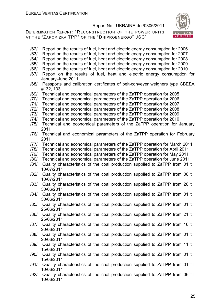

| /62/ | Report on the results of fuel, heat and electric energy consumption for 2006                |
|------|---------------------------------------------------------------------------------------------|
| /63/ | Report on the results of fuel, heat and electric energy consumption for 2007                |
| /64/ | Report on the results of fuel, heat and electric energy consumption for 2008                |
| /65/ | Report on the results of fuel, heat and electric energy consumption for 2009                |
| /66/ | Report on the results of fuel, heat and electric energy consumption for 2010                |
| /67/ | Report on the results of fuel, heat and electric energy consumption for                     |
|      | January-June 2011                                                                           |
| /68/ | Passports and calibration certificates of belt-conveyer weighers type СВЕДА                 |
|      | #132, 133                                                                                   |
| /69/ | Technical and economical parameters of the ZaTPP operation for 2005                         |
| /70/ | Technical and economical parameters of the ZaTPP operation for 2006                         |
| /71/ | Technical and economical parameters of the ZaTPP operation for 2007                         |
| 1721 | Technical and economical parameters of the ZaTPP operation for 2008                         |
| /73/ | Technical and economical parameters of the ZaTPP operation for 2009                         |
| /74/ | Technical and economical parameters of the ZaTPP operation for 2010                         |
| /75/ | Technical and economical parameters of the ZaTPP operation for January<br>2011              |
| /76/ | Technical and economical parameters of the ZaTPP operation for February<br>2011             |
| 1771 | Technical and economical parameters of the ZaTPP operation for March 2011                   |
| /78/ | Technical and economical parameters of the ZaTPP operation for April 2011                   |
| /79/ | Technical and economical parameters of the ZaTPP operation for May 2011                     |
| /80/ | Technical and economical parameters of the ZaTPP operation for June 2011                    |
| /81/ | Quality characteristics of the coal production supplied to ZaTPP from 01 till               |
|      | 10/07/2011                                                                                  |
| /82/ | Quality characteristics of the coal production supplied to ZaTPP from 06 till               |
|      | 10/07/2011                                                                                  |
| /83/ | Quality characteristics of the coal production supplied to ZaTPP from 26 till               |
|      | 30/06/2011                                                                                  |
| /84/ | Quality characteristics of the coal production supplied to ZaTPP from 01 till<br>30/06/2011 |
| /85/ | Quality characteristics of the coal production supplied to ZaTPP from 01 till               |
|      | 25/06/2011                                                                                  |
| /86/ | Quality characteristics of the coal production supplied to ZaTPP from 21 till               |
|      | 25/06/2011                                                                                  |
| /87/ | Quality characteristics of the coal production supplied to ZaTPP from 16 till               |
|      | 20/06/2011                                                                                  |
| /88/ | Quality characteristics of the coal production supplied to ZaTPP from 01 till               |
|      | 20/06/2011                                                                                  |
| /89/ | Quality characteristics of the coal production supplied to ZaTPP from 11 till               |
|      | 15/06/2011                                                                                  |
| /90/ | Quality characteristics of the coal production supplied to ZaTPP from 01 till               |
|      | 15/06/2011                                                                                  |
| /91/ | Quality characteristics of the coal production supplied to ZaTPP from 01 till               |
|      | 10/06/2011                                                                                  |
| /92/ | Quality characteristics of the coal production supplied to ZaTPP from 06 till<br>10/06/2011 |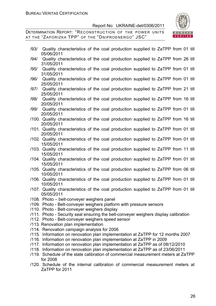

| /93/ | Quality characteristics of the coal production supplied to ZaTPP from 01 till<br>05/06/2011                                                             |  |  |  |  |  |
|------|---------------------------------------------------------------------------------------------------------------------------------------------------------|--|--|--|--|--|
| /94/ | Quality characteristics of the coal production supplied to ZaTPP from 26 till<br>31/05/2011                                                             |  |  |  |  |  |
| /95/ | Quality characteristics of the coal production supplied to ZaTPP from 01 till<br>31/05/2011                                                             |  |  |  |  |  |
| /96/ | Quality characteristics of the coal production supplied to ZaTPP from 01 till<br>25/05/2011                                                             |  |  |  |  |  |
| /97/ | Quality characteristics of the coal production supplied to ZaTPP from 21 till<br>25/05/2011                                                             |  |  |  |  |  |
| /98/ | Quality characteristics of the coal production supplied to ZaTPP from 16 till<br>20/05/2011                                                             |  |  |  |  |  |
| /99/ | Quality characteristics of the coal production supplied to ZaTPP from 01 till<br>20/05/2011                                                             |  |  |  |  |  |
|      | /100. Quality characteristics of the coal production supplied to ZaTPP from 16 till<br>20/05/2011                                                       |  |  |  |  |  |
|      | /101. Quality characteristics of the coal production supplied to ZaTPP from 01 till<br>20/05/2011                                                       |  |  |  |  |  |
|      | /102. Quality characteristics of the coal production supplied to ZaTPP from 01 till<br>15/05/2011                                                       |  |  |  |  |  |
|      | /103. Quality characteristics of the coal production supplied to ZaTPP from 11 till<br>15/05/2011                                                       |  |  |  |  |  |
|      | /104. Quality characteristics of the coal production supplied to ZaTPP from 01 till<br>15/05/2011                                                       |  |  |  |  |  |
|      | /105. Quality characteristics of the coal production supplied to ZaTPP from 06 till<br>10/05/2011                                                       |  |  |  |  |  |
|      | /106. Quality characteristics of the coal production supplied to ZaTPP from 01 till<br>10/05/2011                                                       |  |  |  |  |  |
|      | /107. Quality characteristics of the coal production supplied to ZaTPP from 01 till<br>05/05/2011                                                       |  |  |  |  |  |
|      | /108. Photo - belt-conveyer weighers panel                                                                                                              |  |  |  |  |  |
|      | /109. Photo - Belt-conveyer weighers platform with pressure sensors                                                                                     |  |  |  |  |  |
|      | /110 Photo - Belt-conveyer weighers display<br>/111. Photo - Security seal ensuring the belt-conveyer weighers display calibration                      |  |  |  |  |  |
|      | /112. Photo - Belt-conveyer weighers speed sensor                                                                                                       |  |  |  |  |  |
|      | /113. Renovation plan implementation                                                                                                                    |  |  |  |  |  |
|      | /114. Renovation campaign analysis for 2006                                                                                                             |  |  |  |  |  |
|      | /115. Information on renovation plan implementation at ZaTPP for 12 months 2007<br>/116. Information on renovation plan implementation at ZaTPP in 2009 |  |  |  |  |  |
|      | /117. Information on renovation plan implementation at ZaTPP as of 08/12/2010                                                                           |  |  |  |  |  |
|      | /118. Information on renovation plan implementation at ZaTPP as of 23/06/2011                                                                           |  |  |  |  |  |
|      | /119. Schedule of the state calibration of commercial measurement meters at ZaTPP                                                                       |  |  |  |  |  |
|      | for 2008<br>/120. Schedule of the internal calibration of commercial measurement meters at                                                              |  |  |  |  |  |
|      | ZaTPP for 2011                                                                                                                                          |  |  |  |  |  |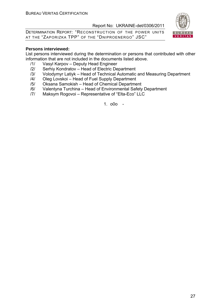DETERMINATION REPORT: "RECONSTRUCTION OF THE POWER UNITS AT THE "ZAPORIZKA TPP" OF THE "DNIPROENERGO" JSC"



#### **Persons interviewed:**

List persons interviewed during the determination or persons that contributed with other information that are not included in the documents listed above.

- /1/ Vasyl Karpov Deputy Head Engineer
- /2/ Serhiy Kondratov Head of Electric Department
- /3/ Volodymyr Latiyk Head of Technical Automatic and Measuring Department
- /4/ Oleg Lovskoi Head of Fuel Supply Department
- /5/ Oksana Samokish Head of Chemical Department
- /6/ Valentyna Turchina Head of Environmental Safety Department
- /7/ Maksym Rogovoi Representative of "Elta-Eco" LLC

1. o0o -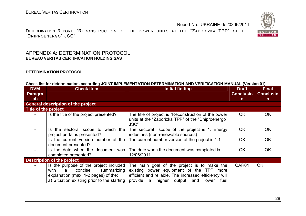DETERMINATION REPORT: "RECONSTRUCTION OF THE POWER UNITS AT THE "ZAPORIZKA TPP" OF THE "DNIPROENERGO" JSC"

# APPENDIX A: DETERMINATION PROTOCOL **BUREAU VERITAS CERTIFICATION HOLDING SAS**

#### **DETERMINATION PROTOCOL**

#### **Check list for determination, according JOINT IMPLEMENTATION DETERMINATION AND VERIFICATION MANUAL (Version 01)**

| <b>DVM</b><br><b>Paragra</b> | <b>Check Item</b>                                                                                                                                                     | <b>Initial finding</b>                                                                                                                                                                                       | <b>Draft</b><br><b>Conclusio</b> | <b>Final</b><br><b>Conclusio</b> |
|------------------------------|-----------------------------------------------------------------------------------------------------------------------------------------------------------------------|--------------------------------------------------------------------------------------------------------------------------------------------------------------------------------------------------------------|----------------------------------|----------------------------------|
| ph                           |                                                                                                                                                                       | n.                                                                                                                                                                                                           | n.                               |                                  |
|                              | <b>General description of the project</b>                                                                                                                             |                                                                                                                                                                                                              |                                  |                                  |
| Title of the project         |                                                                                                                                                                       |                                                                                                                                                                                                              |                                  |                                  |
|                              | Is the title of the project presented?                                                                                                                                | The title of project is "Reconstruction of the power<br>units at the "Zaporizka TPP" of the "Dniproenergo"<br>JSC"                                                                                           | OK.                              | <b>OK</b>                        |
|                              | Is the sectoral scope to which the<br>project pertains presented?                                                                                                     | The sectoral scope of the project is 1. Energy<br>industries (non-renewable sources)                                                                                                                         | <b>OK</b>                        | 0K                               |
|                              | Is the current version number of the<br>document presented?                                                                                                           | The current number version of the project is 1.1                                                                                                                                                             | <b>OK</b>                        | <b>OK</b>                        |
|                              | Is the date when the document was<br>completed presented?                                                                                                             | The date when the document was completed is<br>12/06/2011                                                                                                                                                    | <b>OK</b>                        | <b>OK</b>                        |
|                              | <b>Description of the project</b>                                                                                                                                     |                                                                                                                                                                                                              |                                  |                                  |
|                              | Is the purpose of the project included<br>with<br>concise,<br>a<br>summarizing<br>explanation (max. 1-2 pages) of the:<br>a) Situation existing prior to the starting | The main goal of the project is to make the<br>existing power equipment of the TPP<br>more<br>efficient and reliable. The increased efficiency will<br>provide<br>a higher<br>output<br>fuel<br>and<br>lower | CAR01                            | <b>OK</b>                        |

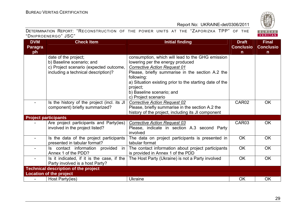BUREAU<br>VERITAS

|                     | DETERMINATION REPORT: "RECONSTRUCTION OF THE POWER UNITS AT THE "ZAPORIZKA TPP" OF THE |  |  |  |  |  |
|---------------------|----------------------------------------------------------------------------------------|--|--|--|--|--|
| "DNIPROENERGO" JSC" |                                                                                        |  |  |  |  |  |

| <b>DVM</b>                  | <b>Check Item</b>                           | <b>Initial finding</b>                                  | <b>Draft</b>     | <b>Final</b>     |
|-----------------------------|---------------------------------------------|---------------------------------------------------------|------------------|------------------|
| Paragra                     |                                             |                                                         | <b>Conclusio</b> | <b>Conclusio</b> |
| ph                          |                                             |                                                         | n                | $\mathsf{n}$     |
|                             | date of the project;                        | consumption, which will lead to the GHG emission        |                  |                  |
|                             | b) Baseline scenario; and                   | lowering per the energy produced                        |                  |                  |
|                             | c) Project scenario (expected outcome,      | <b>Corrective Action Request 01</b>                     |                  |                  |
|                             | including a technical description)?         | Please, briefly summarise in the section A.2 the        |                  |                  |
|                             |                                             | following:                                              |                  |                  |
|                             |                                             | a) Situation existing prior to the starting date of the |                  |                  |
|                             |                                             | project;                                                |                  |                  |
|                             |                                             | b) Baseline scenario; and                               |                  |                  |
|                             |                                             | c) Project scenario                                     |                  |                  |
|                             | Is the history of the project (incl. its JI | <b>Corrective Action Request 02</b>                     | CAR02            | <b>OK</b>        |
|                             | component) briefly summarized?              | Please, briefly summarise in the section A.2 the        |                  |                  |
|                             |                                             | history of the project, including its JI component      |                  |                  |
| <b>Project participants</b> |                                             |                                                         |                  |                  |
|                             | Are project participants and Party(ies)     | <b>Corrective Action Request 03</b>                     | CAR03            | <b>OK</b>        |
|                             | involved in the project listed?             | Please, indicate in section A.3 second Party            |                  |                  |
|                             |                                             | involved                                                |                  |                  |
|                             | Is the data of the project participants     | The data on project participants is presented in        | <b>OK</b>        | <b>OK</b>        |
|                             | presented in tabular format?                | tabular format                                          |                  |                  |
| $\overline{\phantom{a}}$    | Is contact information provided in          | The contact information about project participants      | <b>OK</b>        | <b>OK</b>        |
|                             | Annex 1 of the PDD?                         | is provided in Annex 1 of the PDD                       |                  |                  |
|                             | Is it indicated, if it is the case, if the  | The Host Party (Ukraine) is not a Party involved        | <b>OK</b>        | <b>OK</b>        |
|                             | Party involved is a host Party?             |                                                         |                  |                  |
|                             | <b>Technical description of the project</b> |                                                         |                  |                  |
|                             | <b>Location of the project</b>              |                                                         |                  |                  |
|                             | Host Party(ies)                             | <b>Ukraine</b>                                          | <b>OK</b>        | <b>OK</b>        |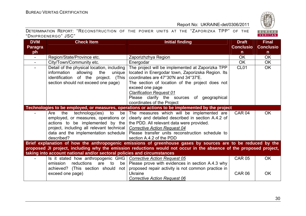

| <b>DVM</b>     | <b>Check Item</b>                                                       | <b>Initial finding</b>                                                                                             | <b>Draft</b>      | <b>Final</b>     |
|----------------|-------------------------------------------------------------------------|--------------------------------------------------------------------------------------------------------------------|-------------------|------------------|
| <b>Paragra</b> |                                                                         |                                                                                                                    | <b>Conclusio</b>  | <b>Conclusio</b> |
| ph             |                                                                         |                                                                                                                    | n.                | $\mathsf{n}$     |
| $\blacksquare$ | Region/State/Province etc.                                              | Zaporizhzhya Region                                                                                                | <b>OK</b>         | <b>OK</b>        |
|                | City/Town/Community etc.                                                | Energodar                                                                                                          | <b>OK</b>         | <b>OK</b>        |
| $\sim$         | Detail of the physical location, including                              | The project will be implemented at Zaporizka TPP                                                                   | CL <sub>01</sub>  | OK               |
|                | information<br>allowing<br>the<br>unique                                | located in Energodar town, Zaporizska Region. Its                                                                  |                   |                  |
|                | identification of the project. (This                                    | coordinates are 47°30'N and 34°37'E.                                                                               |                   |                  |
|                | section should not exceed one page)                                     | The section of location of the project does not                                                                    |                   |                  |
|                |                                                                         | exceed one page                                                                                                    |                   |                  |
|                |                                                                         | <b>Clarification Request 01</b>                                                                                    |                   |                  |
|                |                                                                         | Please clarify the sources of geographical                                                                         |                   |                  |
|                |                                                                         | coordinates of the Project                                                                                         |                   |                  |
|                |                                                                         | Technologies to be employed, or measures, operations or actions to be implemented by the project                   |                   |                  |
|                | to be<br>technology(ies)<br>the<br>Are                                  | The measures which will be implemented are                                                                         | CAR <sub>04</sub> | <b>OK</b>        |
|                | employed, or measures, operations or                                    | clearly and detailed described in section A.4.2 of                                                                 |                   |                  |
|                | actions to be implemented by the                                        | the PDD. All relevant data were provided.                                                                          |                   |                  |
|                | project, including all relevant technical                               | <b>Corrective Action Request 04</b>                                                                                |                   |                  |
|                | data and the implementation schedule                                    | Please transfer units reconstruction schedule to                                                                   |                   |                  |
|                | described?                                                              | section A.4.2 of the PDD                                                                                           |                   |                  |
|                |                                                                         | Brief explanation of how the anthropogenic emissions of greenhouse gases by sources are to be reduced by the       |                   |                  |
|                |                                                                         | proposed JI project, including why the emission reductions would not occur in the absence of the proposed project, |                   |                  |
|                | taking into account national and/or sectoral policies and circumstances |                                                                                                                    |                   |                  |
|                | Is it stated how anthropogenic GHG   Corrective Action Request 05       |                                                                                                                    | <b>CAR 05</b>     | OK.              |
|                | reductions are to be<br>emission                                        | Please prove with evidences in section A.4.3 why                                                                   |                   |                  |
|                | achieved? (This section should<br>not                                   | proposed repair activity is not common practice in                                                                 |                   |                  |
|                | exceed one page)                                                        | Ukraine                                                                                                            | <b>CAR 06</b>     | OK.              |
|                |                                                                         | <b>Corrective Action Request 06</b>                                                                                |                   |                  |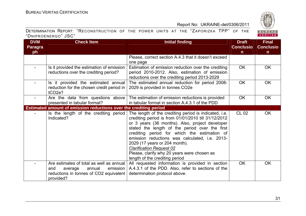

| <b>DVM</b>     | <b>Check Item</b>                                                                                                                       | <b>Initial finding</b>                                                                                                                                                                                                                                                                                                                                                                                                                                                   | <b>Draft</b>     | <b>Final</b>     |
|----------------|-----------------------------------------------------------------------------------------------------------------------------------------|--------------------------------------------------------------------------------------------------------------------------------------------------------------------------------------------------------------------------------------------------------------------------------------------------------------------------------------------------------------------------------------------------------------------------------------------------------------------------|------------------|------------------|
| <b>Paragra</b> |                                                                                                                                         |                                                                                                                                                                                                                                                                                                                                                                                                                                                                          | <b>Conclusio</b> | <b>Conclusio</b> |
| ph             |                                                                                                                                         |                                                                                                                                                                                                                                                                                                                                                                                                                                                                          | $\mathsf{n}$     | $\mathsf{n}$     |
|                |                                                                                                                                         | Please, correct section A.4.3 that it doesn't exceed                                                                                                                                                                                                                                                                                                                                                                                                                     |                  |                  |
|                |                                                                                                                                         | one page                                                                                                                                                                                                                                                                                                                                                                                                                                                                 |                  |                  |
| $\sim$         | Is it provided the estimation of emission                                                                                               | Estimation of emission reduction over the crediting                                                                                                                                                                                                                                                                                                                                                                                                                      | <b>OK</b>        | <b>OK</b>        |
|                | reductions over the crediting period?                                                                                                   | period 2010-2012. Also, estimation of emission                                                                                                                                                                                                                                                                                                                                                                                                                           |                  |                  |
|                |                                                                                                                                         | reductions over the crediting period 2013-2029                                                                                                                                                                                                                                                                                                                                                                                                                           |                  |                  |
| $\sim$         | Is it provided the estimated annual                                                                                                     | The estimated annual reduction for period 2008-                                                                                                                                                                                                                                                                                                                                                                                                                          | <b>OK</b>        | <b>OK</b>        |
|                | reduction for the chosen credit period in<br>tCO <sub>2</sub> e?                                                                        | 2029 is provided in tonnes CO2e                                                                                                                                                                                                                                                                                                                                                                                                                                          |                  |                  |
| $\sim$         | Are the data from questions above                                                                                                       | The estimation of emission reductions is provided                                                                                                                                                                                                                                                                                                                                                                                                                        | <b>OK</b>        | <b>OK</b>        |
|                | presented in tabular format?                                                                                                            | in tabular format in section A.4.3.1 of the PDD                                                                                                                                                                                                                                                                                                                                                                                                                          |                  |                  |
|                | <b>Estimated amount of emission reductions over the crediting period</b>                                                                |                                                                                                                                                                                                                                                                                                                                                                                                                                                                          |                  |                  |
|                | Is the length of the crediting period<br>Indicated?                                                                                     | The length of the crediting period is indicated, i.e.<br>crediting period is from 01/01/2010 till 31/12/2012<br>or 3 years (36 months). Also, project developer<br>stated the length of the period over the first<br>crediting period for which the estimation of<br>emission reductions was calculated, i.e. 2013-<br>2029 (17 years or 204 month).<br><b>Clarification Request 02</b><br>Please, clarify why 20 years were chosen as<br>length of the crediting period | <b>CL 02</b>     | <b>OK</b>        |
|                | Are estimates of total as well as annual<br>emission<br>annual<br>and<br>average<br>reductions in tonnes of CO2 equivalent<br>provided? | All requested information is provided in section<br>A.4.3.1 of the PDD. Also, refer to sections of the<br>determination protocol above.                                                                                                                                                                                                                                                                                                                                  | <b>OK</b>        | <b>OK</b>        |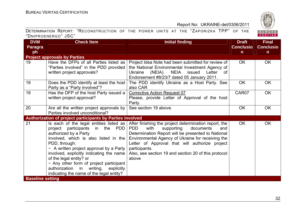

| DETERMINATION REPORT: "RECONSTRUCTION OF THE POWER UNITS AT THE "ZAPORIZKA TPP" OF THE |  |  |  |  |  |  |
|----------------------------------------------------------------------------------------|--|--|--|--|--|--|
| "DNIPROENERGO" JSC"                                                                    |  |  |  |  |  |  |

| <b>DVM</b>              | <b>Check Item</b>                                         | <b>Initial finding</b>                                | <b>Draft</b>     | <b>Final</b>     |
|-------------------------|-----------------------------------------------------------|-------------------------------------------------------|------------------|------------------|
| Paragra                 |                                                           |                                                       | <b>Conclusio</b> | <b>Conclusio</b> |
| ph                      |                                                           |                                                       | $\mathsf{n}$     | $\mathsf{n}$     |
|                         | <b>Project approvals by Parties</b>                       |                                                       |                  |                  |
| 19                      | Have the DFPs of all Parties listed as                    | Project Idea Note had been submitted for review of    | OK.              | <b>OK</b>        |
|                         | "Parties involved" in the PDD provided                    | the National Environmental Investment Agency of       |                  |                  |
|                         | written project approvals?                                | NEIA<br>issued<br>Letter<br>Ukraine<br>(NEIA).<br>of  |                  |                  |
|                         |                                                           | Endorsement #8/23/7 dated 05 January 2011.            |                  |                  |
| 19                      | Does the PDD identify at least the host                   | The PDD identify Ukraine as a Host Party. See         | <b>OK</b>        | <b>OK</b>        |
|                         | Party as a "Party involved"?                              | also CAR                                              |                  |                  |
| 19                      | Has the DFP of the host Party issued a                    | <b>Corrective Action Request 07</b>                   | CAR07            | <b>OK</b>        |
|                         | written project approval?                                 | Please, provide Letter of Approval of the host        |                  |                  |
|                         |                                                           | Party.                                                |                  |                  |
| 20                      | Are all the written project approvals by                  | See section 19 above.                                 | <b>OK</b>        | <b>OK</b>        |
|                         | Parties involved unconditional?                           |                                                       |                  |                  |
|                         | Authorization of project participants by Parties involved |                                                       |                  |                  |
| 21                      | Is each of the legal entities listed as                   | After finishing the project determination report, the | OK.              | <b>OK</b>        |
|                         | project participants in the PDD                           | <b>PDD</b><br>with<br>supporting<br>documents<br>and  |                  |                  |
|                         | authorized by a Party                                     | Determination Report will be presented to National    |                  |                  |
|                         | involved, which is also listed in the                     | Environmental Agency of Ukraine for receiving the     |                  |                  |
|                         | PDD, through:                                             | Letter of Approval that will authorize project        |                  |                  |
|                         | - A written project approval by a Party                   | participants.                                         |                  |                  |
|                         | involved, explicitly indicating the name                  | Also, see section 19 and section 20 of this protocol  |                  |                  |
|                         | of the legal entity? or                                   | above                                                 |                  |                  |
|                         | - Any other form of project participant                   |                                                       |                  |                  |
|                         | authorization in writing,<br>explicitly                   |                                                       |                  |                  |
|                         | indicating the name of the legal entity?                  |                                                       |                  |                  |
| <b>Baseline setting</b> |                                                           |                                                       |                  |                  |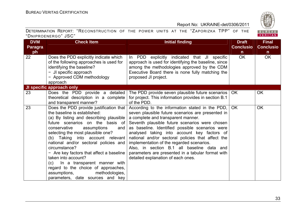

| DETERMINATION REPORT: "RECONSTRUCTION OF THE POWER UNITS AT THE "ZAPORIZKA TPP" OF THE |  |  |  |  |  |  |
|----------------------------------------------------------------------------------------|--|--|--|--|--|--|
| "DNIPROENERGO" JSC"                                                                    |  |  |  |  |  |  |

| <b>DVM</b>     | <b>Check Item</b>                                                                                                                                                                                                                                                                                                                                                                                                                                                                                                                                   | <b>Initial finding</b>                                                                                                                                                                                                                                                                                                                                                                                                                                                                                                                    | <b>Draft</b>     | <b>Final</b>     |
|----------------|-----------------------------------------------------------------------------------------------------------------------------------------------------------------------------------------------------------------------------------------------------------------------------------------------------------------------------------------------------------------------------------------------------------------------------------------------------------------------------------------------------------------------------------------------------|-------------------------------------------------------------------------------------------------------------------------------------------------------------------------------------------------------------------------------------------------------------------------------------------------------------------------------------------------------------------------------------------------------------------------------------------------------------------------------------------------------------------------------------------|------------------|------------------|
| <b>Paragra</b> |                                                                                                                                                                                                                                                                                                                                                                                                                                                                                                                                                     |                                                                                                                                                                                                                                                                                                                                                                                                                                                                                                                                           | <b>Conclusio</b> | <b>Conclusio</b> |
| ph             |                                                                                                                                                                                                                                                                                                                                                                                                                                                                                                                                                     |                                                                                                                                                                                                                                                                                                                                                                                                                                                                                                                                           | $\mathsf{n}$     | n.               |
| 22             | Does the PDD explicitly indicate which<br>of the following approaches is used for<br>identifying the baseline?<br>- JI specific approach<br>- Approved CDM methodology<br>approach                                                                                                                                                                                                                                                                                                                                                                  | In PDD explicitly indicated that JI specific<br>approach is used for identifying the baseline, since<br>among the methodologies approved by the CDM<br>Executive Board there is none fully matching the<br>proposed JI project.                                                                                                                                                                                                                                                                                                           | <b>OK</b>        | OK               |
|                | <b>JI specific approach only</b>                                                                                                                                                                                                                                                                                                                                                                                                                                                                                                                    |                                                                                                                                                                                                                                                                                                                                                                                                                                                                                                                                           |                  |                  |
| 23             | Does the PDD provide a detailed<br>theoretical description in a complete<br>and transparent manner?                                                                                                                                                                                                                                                                                                                                                                                                                                                 | The PDD provide seven plausible future scenarios   OK<br>for project. This information provides in section B.1<br>of the PDD.                                                                                                                                                                                                                                                                                                                                                                                                             |                  | <b>OK</b>        |
| 23             | Does the PDD provide justification that<br>the baseline is established:<br>(a) By listing and describing plausible<br>future scenarios on the basis of<br>conservative<br>assumptions<br>and<br>selecting the most plausible one?<br>(b) Taking into account relevant<br>national and/or sectoral policies and<br>circumstance?<br>- Are key factors that affect a baseline<br>taken into account?<br>(c) In a transparent manner with<br>regard to the choice of approaches,<br>assumptions,<br>methodologies,<br>parameters, date sources and key | According to the information stated in the PDD,<br>seven plausible future scenarios are presented in<br>a complete and transparent manner.<br>Seventh plausible future scenarios were chosen<br>as baseline. Identified possible scenarios were<br>analysed taking into account key factors of<br>national and/or sectoral policies that affect the<br>implementation of the regarded scenarios.<br>Also, in section B.1 all baseline data and<br>parameters are presented in a tabular format with<br>detailed explanation of each ones. | <b>OK</b>        | <b>OK</b>        |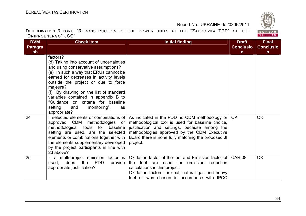

| <b>DVM</b>     | <b>Check Item</b>                                                                                                                                                                                                                                                                                                                                                                                                  | <b>Initial finding</b>                                                                                                                                                                                                                                                                                                      | <b>Draft</b>     | <b>Final</b>     |
|----------------|--------------------------------------------------------------------------------------------------------------------------------------------------------------------------------------------------------------------------------------------------------------------------------------------------------------------------------------------------------------------------------------------------------------------|-----------------------------------------------------------------------------------------------------------------------------------------------------------------------------------------------------------------------------------------------------------------------------------------------------------------------------|------------------|------------------|
| <b>Paragra</b> |                                                                                                                                                                                                                                                                                                                                                                                                                    |                                                                                                                                                                                                                                                                                                                             | <b>Conclusio</b> | <b>Conclusio</b> |
| ph             |                                                                                                                                                                                                                                                                                                                                                                                                                    |                                                                                                                                                                                                                                                                                                                             | n                | n                |
|                | factors?<br>(d) Taking into account of uncertainties<br>and using conservative assumptions?<br>(e) In such a way that ERUs cannot be<br>earned for decreases in activity levels<br>outside the project or due to force<br>majeure?<br>(f) By drawing on the list of standard<br>variables contained in appendix B to<br>"Guidance on criteria for baseline<br>setting<br>monitoring",<br>and<br>as<br>appropriate? |                                                                                                                                                                                                                                                                                                                             |                  |                  |
| 24             | approved CDM methodologies or<br>methodological tools for baseline<br>setting are used, are the selected<br>elements or combinations together with<br>the elements supplementary developed<br>by the project participants in line with<br>23 above?                                                                                                                                                                | If selected elements or combinations of $\vert$ As indicated in the PDD no CDM methodology or $\vert$<br>methodological tool is used for baseline choice,<br>justification and settings, because among the<br>methodologies approved by the CDM Executive<br>Board there is none fully matching the proposed JI<br>project. | OK.              | <b>OK</b>        |
| 25             | If a multi-project emission factor is<br><b>PDD</b><br>does the<br>used,<br>provide<br>appropriate justification?                                                                                                                                                                                                                                                                                                  | Oxidation factor of the fuel and Emission factor of<br>the fuel are used for emission reduction<br>calculations in this project.<br>Oxidation factors for coal, natural gas and heavy<br>fuel oil was chosen in accordance with IPCC                                                                                        | <b>CAR 08</b>    | <b>OK</b>        |

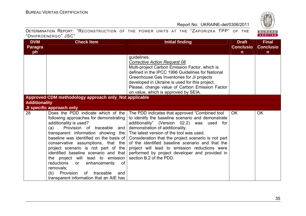

| <b>DVM</b>           | <b>Check Item</b>                                     | <b>Initial finding</b>                              | <b>Draft</b>     | <b>Final</b>     |
|----------------------|-------------------------------------------------------|-----------------------------------------------------|------------------|------------------|
| <b>Paragra</b>       |                                                       |                                                     | <b>Conclusio</b> | <b>Conclusio</b> |
| ph                   |                                                       |                                                     | $\mathsf{n}$     | $\mathsf{n}$     |
|                      |                                                       | guidelines.                                         |                  |                  |
|                      |                                                       | <b>Corrective Action Request 08</b>                 |                  |                  |
|                      |                                                       | Multi-project Carbon Emission Factor, which is      |                  |                  |
|                      |                                                       | defined in the IPCC 1996 Guidelines for National    |                  |                  |
|                      |                                                       | Greenhouse Gas Inventories for JI projects          |                  |                  |
|                      |                                                       | developed in Ukraine is used for this project.      |                  |                  |
|                      |                                                       | Please, change value of Carbon Emission Factor      |                  |                  |
|                      |                                                       | on value, which is approved by SEIA.                |                  |                  |
|                      | Approved CDM methodology approach only_Not applicable |                                                     |                  |                  |
| <b>Additionality</b> |                                                       |                                                     |                  |                  |
|                      | JI specific approach only                             |                                                     |                  |                  |
| 28                   | Does the PDD indicate which of the                    | The PDD indicates that approved "Combined tool      | <b>OK</b>        | <b>OK</b>        |
|                      | following approaches for demonstrating                | to identify the baseline scenario and demonstrate   |                  |                  |
|                      | additionality is used?                                | additionality" (Version 02.2) was used for          |                  |                  |
|                      | Provision of traceable and<br>(a)                     | demonstration of additionality.                     |                  |                  |
|                      | transparent information showing the                   | The latest version of the tool was used.            |                  |                  |
|                      | baseline was identified on the basis of               | Consideration that the project scenario is not part |                  |                  |
|                      | conservative assumptions, that the                    | of the identified baseline scenario and that the    |                  |                  |
|                      | project scenario is not part of the                   | project will lead to emission reductions were       |                  |                  |
|                      | identified baseline scenario and that                 | performed by project developer and provided in      |                  |                  |
|                      | the project will lead to emission                     | section B.2 of the PDD.                             |                  |                  |
|                      | reductions<br>enhancements<br>0f<br>or                |                                                     |                  |                  |
|                      | removals;                                             |                                                     |                  |                  |
|                      | Provision<br>traceable<br>(b)<br>0f<br>and            |                                                     |                  |                  |
|                      | transparent information that an AIE has               |                                                     |                  |                  |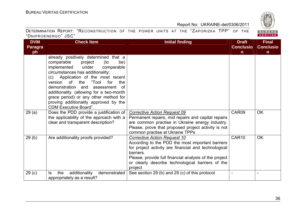| <b>DVM</b>        | <b>Check Item</b>                                                                                                                                                                                                                                                                                                                                                                                                                           | <b>Initial finding</b>                                                                                                                                                                                                                                                          | <b>Draft</b>      | <b>Final</b>     |
|-------------------|---------------------------------------------------------------------------------------------------------------------------------------------------------------------------------------------------------------------------------------------------------------------------------------------------------------------------------------------------------------------------------------------------------------------------------------------|---------------------------------------------------------------------------------------------------------------------------------------------------------------------------------------------------------------------------------------------------------------------------------|-------------------|------------------|
| <b>Paragra</b>    |                                                                                                                                                                                                                                                                                                                                                                                                                                             |                                                                                                                                                                                                                                                                                 | <b>Conclusio</b>  | <b>Conclusio</b> |
| ph                |                                                                                                                                                                                                                                                                                                                                                                                                                                             |                                                                                                                                                                                                                                                                                 | n                 | n.               |
|                   | already positively determined that a<br>comparable<br>project<br>(to<br>be)<br>implemented<br>under<br>comparable<br>circumstances has additionality;<br>(c) Application of the most recent<br>version of the<br>"Tool<br>for<br>the<br>demonstration and<br>assessment<br>of<br>additionality. (allowing for a two-month<br>grace period) or any other method for<br>proving additionality approved by the<br><b>CDM Executive Board".</b> |                                                                                                                                                                                                                                                                                 |                   |                  |
| 29(a)             | Does the PDD provide a justification of<br>the applicability of the approach with a<br>clear and transparent description?                                                                                                                                                                                                                                                                                                                   | <b>Corrective Action Request 09</b><br>Permanent repairs, mid repairs and capital repairs<br>are common practise in Ukraine energy industry.<br>Please, prove that proposed project activity is not<br>common practise at Ukraine TPPs                                          | CAR09             | <b>OK</b>        |
| 29(b)             | Are additionality proofs provided?                                                                                                                                                                                                                                                                                                                                                                                                          | Corrective Action Request 10<br>According to the PDD the most important barriers<br>for project activity are financial and technological<br>barriers.<br>Please, provide full financial analysis of the project<br>or clearly describe technological barriers of the<br>project | CAR <sub>10</sub> | <b>OK</b>        |
| 29 <sub>(c)</sub> | additionality<br>demonstrated<br>the<br>ls.<br>appropriately as a result?                                                                                                                                                                                                                                                                                                                                                                   | See section 29 (b) and 29 (c) of this protocol                                                                                                                                                                                                                                  |                   |                  |

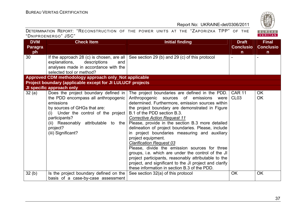

| <b>DVM</b>     | <b>Check Item</b>                                          | <b>Initial finding</b>                                                                                 | <b>Draft</b>     | <b>Final</b>     |
|----------------|------------------------------------------------------------|--------------------------------------------------------------------------------------------------------|------------------|------------------|
| <b>Paragra</b> |                                                            |                                                                                                        | <b>Conclusio</b> | <b>Conclusio</b> |
| ph             |                                                            |                                                                                                        | n.               | $\mathsf{n}$     |
| 30             | If the approach 28 (c) is chosen, are all                  | See section 29 (b) and 29 (c) of this protocol                                                         |                  |                  |
|                | explanations,<br>descriptions<br>and                       |                                                                                                        |                  |                  |
|                | analyses made in accordance with the                       |                                                                                                        |                  |                  |
|                | selected tool or method?                                   |                                                                                                        |                  |                  |
|                | Approved CDM methodology approach only_Not applicable      |                                                                                                        |                  |                  |
|                | Project boundary (applicable except for JI LULUCF projects |                                                                                                        |                  |                  |
|                | JI specific approach only                                  |                                                                                                        |                  |                  |
| 32(a)          | Does the project boundary defined in                       | The project boundaries are defined in the PDD.                                                         | <b>CAR 11</b>    | <b>OK</b>        |
|                | the PDD encompass all anthropogenic                        | Anthropogenic sources of emissions<br>were                                                             | CL <sub>03</sub> | <b>OK</b>        |
|                | emissions                                                  | determined. Furthermore, emission sources within                                                       |                  |                  |
|                | by sources of GHGs that are:                               | the project boundary are demonstrated in Figure                                                        |                  |                  |
|                | (i) Under the control of the project                       | B.1 of the PDD section B.3.                                                                            |                  |                  |
|                | participants?                                              | <b>Corrective Action Request 11</b>                                                                    |                  |                  |
|                | (ii) Reasonably attributable to the                        | Please, provide in the section B.3 more detailed                                                       |                  |                  |
|                | project?                                                   | delineation of project boundaries. Please, include                                                     |                  |                  |
|                | (iii) Significant?                                         | in project boundaries measuring and auxiliary                                                          |                  |                  |
|                |                                                            | project equipment.                                                                                     |                  |                  |
|                |                                                            | <b>Clarification Request 03</b>                                                                        |                  |                  |
|                |                                                            | Please, divide the emission sources for three                                                          |                  |                  |
|                |                                                            | groups, i.e. which are under the control of the JI                                                     |                  |                  |
|                |                                                            | project participants, reasonably attributable to the                                                   |                  |                  |
|                |                                                            | project, and significant to the JI project and clarify<br>these information in section B.3 of the PDD. |                  |                  |
|                |                                                            |                                                                                                        |                  |                  |
| 32(b)          | Is the project boundary defined on the                     | See section 32(a) of this protocol                                                                     | <b>OK</b>        | <b>OK</b>        |
|                | basis of a case-by-case assessment                         |                                                                                                        |                  |                  |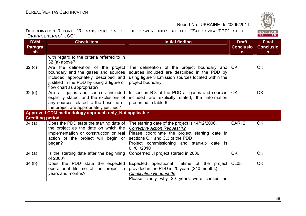

| <b>DVM</b>              | <b>Check Item</b>                                                                                                                                                                           | <b>Initial finding</b>                                                                                                                                                                                                                  | <b>Draft</b>      | <b>Final</b>     |
|-------------------------|---------------------------------------------------------------------------------------------------------------------------------------------------------------------------------------------|-----------------------------------------------------------------------------------------------------------------------------------------------------------------------------------------------------------------------------------------|-------------------|------------------|
| <b>Paragra</b>          |                                                                                                                                                                                             |                                                                                                                                                                                                                                         | <b>Conclusio</b>  | <b>Conclusio</b> |
| ph                      |                                                                                                                                                                                             |                                                                                                                                                                                                                                         | $\mathsf{n}$      | n.               |
|                         | with regard to the criteria referred to in<br>$32$ (a) above?                                                                                                                               |                                                                                                                                                                                                                                         |                   |                  |
| 32(c)                   | Are the delineation of the project<br>boundary and the gases and sources<br>included appropriately described and<br>justified in the PDD by using a figure or<br>flow chart as appropriate? | The delineation of the project boundary and<br>sources included are described in the PDD by<br>using figure 3 Emission sources located within the<br>project boundary.                                                                  | <b>OK</b>         | <b>OK</b>        |
| 32 <sub>(d)</sub>       | Are all gases and sources included<br>explicitly stated, and the exclusions of<br>any sources related to the baseline or<br>the project are appropriately justified?                        | In section B.3 of the PDD all gases and sources<br>included are explicitly stated; the information<br>presented in table 6                                                                                                              | OK                | <b>OK</b>        |
|                         | Approved CDM methodology approach only_Not applicable                                                                                                                                       |                                                                                                                                                                                                                                         |                   |                  |
| <b>Crediting period</b> |                                                                                                                                                                                             |                                                                                                                                                                                                                                         |                   |                  |
| 34(a)                   | Does the PDD state the starting date of<br>the project as the date on which the<br>implementation or construction or real<br>action of the project will begin or<br>began?                  | The starting date of the project is 14/12/2006.<br><b>Corrective Action Request 12</b><br>Please coordinate the project starting date in<br>sections C.1 and C.3 of the PDD<br>Project commissioning and start-up date is<br>01/01/2010 | CAR <sub>12</sub> | <b>OK</b>        |
| 34(a)                   | Is the starting date after the beginning<br>of 2000?                                                                                                                                        | Concerned JI project started in 2006                                                                                                                                                                                                    | <b>OK</b>         | <b>OK</b>        |
| 34(b)                   | Does the PDD state the expected<br>operational lifetime of the project in<br>years and months?                                                                                              | Expected operational lifetime of the project<br>provided in the PDD is 20 years (240 months)<br><b>Clarification Request 05</b><br>Please clarify why 20 years were chosen as                                                           | <b>CL05</b>       | <b>OK</b>        |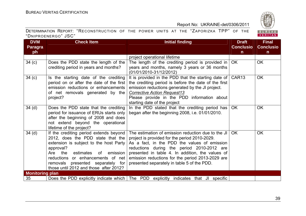

| <b>DVM</b>             | <b>Check Item</b>                                                                                                                                                                                                                                                                                | <b>Initial finding</b>                                                                                                                                                                                                                                                                                                                                   | <b>Draft</b>     | <b>Final</b>     |
|------------------------|--------------------------------------------------------------------------------------------------------------------------------------------------------------------------------------------------------------------------------------------------------------------------------------------------|----------------------------------------------------------------------------------------------------------------------------------------------------------------------------------------------------------------------------------------------------------------------------------------------------------------------------------------------------------|------------------|------------------|
| <b>Paragra</b>         |                                                                                                                                                                                                                                                                                                  |                                                                                                                                                                                                                                                                                                                                                          | <b>Conclusio</b> | <b>Conclusio</b> |
| ph                     |                                                                                                                                                                                                                                                                                                  |                                                                                                                                                                                                                                                                                                                                                          | $\mathsf{n}$     | $\mathsf{n}$     |
|                        |                                                                                                                                                                                                                                                                                                  | project operational lifetime                                                                                                                                                                                                                                                                                                                             |                  |                  |
| 34 <sub>(c)</sub>      | Does the PDD state the length of the<br>crediting period in years and months?                                                                                                                                                                                                                    | The length of the crediting period is provided in $\overline{\phantom{a}}$ OK<br>years and months, namely 3 years or 36 months<br>(01/01/2010-31/12/2012)                                                                                                                                                                                                |                  | <b>OK</b>        |
| 34 <sub>(c)</sub>      | Is the starting date of the crediting<br>period on or after the date of the first<br>emission reductions or enhancements<br>of net removals generated by the<br>project?                                                                                                                         | It is provided in the PDD that the starting date of $\overline{)$ CAR13<br>the crediting period is before the date of the first<br>emission reductions generated by the JI project.<br><b>Corrective Action Request13</b><br>Please provide in the PDD information about<br>starting date of the project                                                 |                  | <b>OK</b>        |
| 34 <sub>(d)</sub>      | Does the PDD state that the crediting<br>period for issuance of ERUs starts only<br>after the beginning of 2008 and does<br>not extend beyond the operational<br>lifetime of the project?                                                                                                        | In the PDD stated that the crediting period has  <br>began after the beginning 2008, i.e. 01/01/2010.                                                                                                                                                                                                                                                    | <b>OK</b>        | <b>OK</b>        |
| 34 <sub>(d)</sub>      | If the crediting period extends beyond<br>2012, does the PDD state that the<br>extension is subject to the host Party<br>approval?<br>Are the<br>estimates<br>emission<br>of<br>reductions or enhancements of net<br>removals presented separately for<br>those until 2012 and those after 2012? | The estimation of emission reduction due to the JI<br>project is provided for the period 2010-2029.<br>As a fact, in the PDD the values of emission<br>reductions during the period 2010-2012 are<br>presented in table 4. In addition, the values of<br>emission reductions for the period 2013-2029 are<br>presented separately in table 5 of the PDD. | OK.              | <b>OK</b>        |
| <b>Monitoring plan</b> |                                                                                                                                                                                                                                                                                                  |                                                                                                                                                                                                                                                                                                                                                          |                  |                  |
| 35                     | Does the PDD explicitly indicate which   The PDD explicitly                                                                                                                                                                                                                                      | indicates that JI specific                                                                                                                                                                                                                                                                                                                               |                  |                  |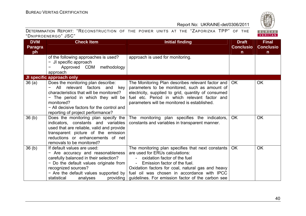

| <b>DVM</b>        | <b>Check Item</b>                                                                                                                                                                                                                               | <b>Initial finding</b>                                                                                                                                                                                                                                                                                                    | <b>Draft</b>     | <b>Final</b>     |
|-------------------|-------------------------------------------------------------------------------------------------------------------------------------------------------------------------------------------------------------------------------------------------|---------------------------------------------------------------------------------------------------------------------------------------------------------------------------------------------------------------------------------------------------------------------------------------------------------------------------|------------------|------------------|
| <b>Paragra</b>    |                                                                                                                                                                                                                                                 |                                                                                                                                                                                                                                                                                                                           | <b>Conclusio</b> | <b>Conclusio</b> |
| ph                |                                                                                                                                                                                                                                                 |                                                                                                                                                                                                                                                                                                                           | n.               | n                |
|                   | of the following approaches is used?<br>- JI specific approach                                                                                                                                                                                  | approach is used for monitoring.                                                                                                                                                                                                                                                                                          |                  |                  |
|                   | Approved CDM methodology                                                                                                                                                                                                                        |                                                                                                                                                                                                                                                                                                                           |                  |                  |
|                   | approach                                                                                                                                                                                                                                        |                                                                                                                                                                                                                                                                                                                           |                  |                  |
|                   | JI specific approach only                                                                                                                                                                                                                       |                                                                                                                                                                                                                                                                                                                           |                  |                  |
| 36(a)             | Does the monitoring plan describe:<br>- All relevant factors and<br>key<br>characteristics that will be monitored?<br>- The period in which they will be<br>monitored?                                                                          | The Monitoring Plan describes relevant factor and<br>parameters to be monitored, such as amount of<br>electricity, supplied to grid, quantity of consumed<br>fuel etc. Period in which relevant factor and<br>parameters will be monitored is established.                                                                | OK.              | <b>OK</b>        |
|                   | - All decisive factors for the control and                                                                                                                                                                                                      |                                                                                                                                                                                                                                                                                                                           |                  |                  |
|                   | reporting of project performance?                                                                                                                                                                                                               |                                                                                                                                                                                                                                                                                                                           |                  |                  |
| 36 <sub>(b)</sub> | Does the monitoring plan specify the<br>indicators, constants and variables<br>used that are reliable, valid and provide<br>transparent picture of the emission<br>reductions or enhancements of net<br>removals to be monitored?               | The monitoring plan specifies the indicators,<br>constants and variables in transparent manner.                                                                                                                                                                                                                           | <b>OK</b>        | <b>OK</b>        |
| 36 <sub>(b)</sub> | If default values are used:<br>- Are accuracy and reasonableness<br>carefully balanced in their selection?<br>- Do the default values originate from<br>recognized sources?<br>- Are the default values supported by<br>statistical<br>analyses | The monitoring plan specifies that next constants<br>are used for ERUs calculations:<br>oxidation factor of the fuel<br>Emission factor of the fuel.<br>Oxidation factors for coal, natural gas and heavy<br>fuel oil was chosen in accordance with IPCC<br>providing   guidelines. For emission factor of the carbon see | OK.              | <b>OK</b>        |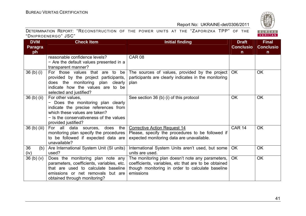

| <b>DVM</b>           | <b>Check Item</b>                         | <b>Initial finding</b>                               | <b>Draft</b>     | <b>Final</b>     |
|----------------------|-------------------------------------------|------------------------------------------------------|------------------|------------------|
| <b>Paragra</b>       |                                           |                                                      | <b>Conclusio</b> | <b>Conclusio</b> |
| ph                   |                                           |                                                      | $\mathbf n$      | $\mathbf n$      |
|                      | reasonable confidence levels?             | <b>CAR 08</b>                                        |                  |                  |
|                      | - Are the default values presented in a   |                                                      |                  |                  |
|                      | transparent manner?                       |                                                      |                  |                  |
| 36 <sub>(b)(i)</sub> | For those values that are to be           | The sources of values, provided by the project       | OK.              | <b>OK</b>        |
|                      | provided by the project participants,     | participants are clearly indicates in the monitoring |                  |                  |
|                      | does the monitoring plan clearly          | plan                                                 |                  |                  |
|                      | indicate how the values are to be         |                                                      |                  |                  |
|                      | selected and justified?                   |                                                      |                  |                  |
| $36$ (b) (ii)        | For other values,                         | See section 36 (b) (i) of this protocol              | <b>OK</b>        | <b>OK</b>        |
|                      | - Does the monitoring plan clearly        |                                                      |                  |                  |
|                      | indicate the precise references from      |                                                      |                  |                  |
|                      | which these values are taken?             |                                                      |                  |                  |
|                      | - Is the conservativeness of the values   |                                                      |                  |                  |
|                      | provided justified?                       |                                                      |                  |                  |
| 36 (b) (iii)         | the<br>For all data sources, does         | <b>Corrective Action Request 14</b>                  | <b>CAR 14</b>    | <b>OK</b>        |
|                      | monitoring plan specify the procedures    | Please, specify the procedures to be followed if     |                  |                  |
|                      | to be followed if expected data are       | expected monitoring data are unavailable.            |                  |                  |
|                      | unavailable?                              |                                                      |                  |                  |
| 36<br>(b)            | Are International System Unit (SI units)  | International System Units aren't used, but some     | OK.              | <b>OK</b>        |
| (iv)                 | used?                                     | units are used.                                      |                  |                  |
| 36(b)(v)             | Does the monitoring plan note any         | The monitoring plan doesn't note any parameters,     | <b>OK</b>        | <b>OK</b>        |
|                      | parameters, coefficients, variables, etc. | coefficients, variables, etc that are to be obtained |                  |                  |
|                      | that are used to calculate baseline       | though monitoring in order to calculate baseline     |                  |                  |
|                      | emissions or net removals but are         | emissions                                            |                  |                  |
|                      | obtained through monitoring?              |                                                      |                  |                  |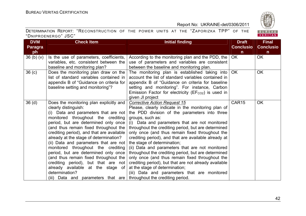

| <b>DVM</b>        | <b>Check Item</b>                                                                                                                                                                                                                                                                                                                                                                                                                                                                                                                                                                                                                                            | <b>Initial finding</b>                                                                                                                                                                                                                                                                                                                                                                                                                                                                                                                                                                                                                                                                                                    | <b>Draft</b>      | <b>Final</b>     |
|-------------------|--------------------------------------------------------------------------------------------------------------------------------------------------------------------------------------------------------------------------------------------------------------------------------------------------------------------------------------------------------------------------------------------------------------------------------------------------------------------------------------------------------------------------------------------------------------------------------------------------------------------------------------------------------------|---------------------------------------------------------------------------------------------------------------------------------------------------------------------------------------------------------------------------------------------------------------------------------------------------------------------------------------------------------------------------------------------------------------------------------------------------------------------------------------------------------------------------------------------------------------------------------------------------------------------------------------------------------------------------------------------------------------------------|-------------------|------------------|
| <b>Paragra</b>    |                                                                                                                                                                                                                                                                                                                                                                                                                                                                                                                                                                                                                                                              |                                                                                                                                                                                                                                                                                                                                                                                                                                                                                                                                                                                                                                                                                                                           | <b>Conclusio</b>  | <b>Conclusio</b> |
| ph                |                                                                                                                                                                                                                                                                                                                                                                                                                                                                                                                                                                                                                                                              |                                                                                                                                                                                                                                                                                                                                                                                                                                                                                                                                                                                                                                                                                                                           | $\mathsf{n}$      | $\mathsf{n}$     |
| 36(b)(v)          | Is the use of parameters, coefficients,<br>variables, etc. consistent between the                                                                                                                                                                                                                                                                                                                                                                                                                                                                                                                                                                            | According to the monitoring plan and the PDD, the<br>use of parameters and variables are consistent                                                                                                                                                                                                                                                                                                                                                                                                                                                                                                                                                                                                                       | <b>OK</b>         | <b>OK</b>        |
|                   | baseline and monitoring plan?                                                                                                                                                                                                                                                                                                                                                                                                                                                                                                                                                                                                                                | between the baseline and monitoring plan.                                                                                                                                                                                                                                                                                                                                                                                                                                                                                                                                                                                                                                                                                 |                   |                  |
| 36 <sub>(c)</sub> | Does the monitoring plan draw on the<br>list of standard variables contained in<br>appendix B of "Guidance on criteria for<br>baseline setting and monitoring"?                                                                                                                                                                                                                                                                                                                                                                                                                                                                                              | The monitoring plan is established taking into<br>account the list of standard variables contained in<br>appendix B of "Guidance on criteria for baseline<br>setting and monitoring". For instance, Carbon<br>Emission Factor for electricity ( $EFCO2$ ) is used in<br>given JI project                                                                                                                                                                                                                                                                                                                                                                                                                                  | <b>OK</b>         | <b>OK</b>        |
| 36 <sub>(d)</sub> | Does the monitoring plan explicitly and<br>clearly distinguish:<br>(i) Data and parameters that are not<br>monitored throughout the crediting<br>period, but are determined only once<br>(and thus remain fixed throughout the<br>crediting period), and that are available<br>already at the stage of determination?<br>(ii) Data and parameters that are not<br>monitored throughout the crediting<br>period, but are determined only once<br>(and thus remain fixed throughout the<br>crediting period), but that are not<br>already available at the stage of<br>determination?<br>(iii) Data and parameters that are   throughout the crediting period. | <b>Corrective Action Request 15</b><br>Please, clearly indicate in the monitoring plan of<br>the PDD division of the parameters into three<br>groups, such as:<br>(i) Data and parameters that are not monitored<br>throughout the crediting period, but are determined<br>only once (and thus remain fixed throughout the<br>crediting period), and that are available already at<br>the stage of determination;<br>(ii) Data and parameters that are not monitored<br>throughout the crediting period, but are determined<br>only once (and thus remain fixed throughout the<br>crediting period), but that are not already available<br>at the stage of determination;<br>(iii) Data and parameters that are monitored | CAR <sub>15</sub> | <b>OK</b>        |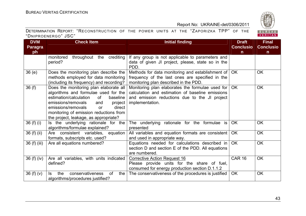

| <b>DVM</b>     | <b>Check Item</b>                                                                | <b>Initial finding</b>                                                                            | <b>Draft</b>     | <b>Final</b>     |
|----------------|----------------------------------------------------------------------------------|---------------------------------------------------------------------------------------------------|------------------|------------------|
| <b>Paragra</b> |                                                                                  |                                                                                                   | <b>Conclusio</b> | <b>Conclusio</b> |
| ph             |                                                                                  |                                                                                                   | $\mathsf{n}$     | $\mathsf{n}$     |
|                | throughout the<br>crediting<br>monitored                                         | If any group is not applicable to parameters and                                                  |                  |                  |
|                | period?                                                                          | data of given JI project, please, state so in the<br>PDD.                                         |                  |                  |
| 36(e)          | Does the monitoring plan describe the                                            | Methods for data monitoring and establishment of                                                  | <b>OK</b>        | <b>OK</b>        |
|                | methods employed for data monitoring                                             | frequency of the last ones are specified in the                                                   |                  |                  |
|                | (including its frequency) and recording?                                         | monitoring plan described in the PDD.                                                             |                  |                  |
| 36(f)          | Does the monitoring plan elaborate all                                           | Monitoring plan elaborates the formulae used for                                                  | OK               | <b>OK</b>        |
|                | algorithms and formulae used for the<br>estimation/calculation<br>of<br>baseline | calculation and estimation of baseline emissions<br>and emission reductions due to the JI project |                  |                  |
|                | emissions/removals<br>and<br>project                                             | implementation.                                                                                   |                  |                  |
|                | emissions/removals<br>direct<br>or                                               |                                                                                                   |                  |                  |
|                | monitoring of emission reductions from                                           |                                                                                                   |                  |                  |
|                | the project, leakage, as appropriate?                                            |                                                                                                   |                  |                  |
| 36 (f) (i)     | Is the underlying rationale for the                                              | The underlying rationale for the formulae is                                                      | <b>OK</b>        | <b>OK</b>        |
|                | algorithms/formulae explained?                                                   | presented                                                                                         |                  |                  |
| 36 (f) (ii)    | Are consistent variables, equation                                               | All variables and equation formats are consistent                                                 | <b>OK</b>        | <b>OK</b>        |
|                | formats, subscripts etc. used?                                                   | and used in appropriate way.                                                                      |                  |                  |
| 36 (f) (iii)   | Are all equations numbered?                                                      | Equations needed for calculations described in                                                    | <b>OK</b>        | <b>OK</b>        |
|                |                                                                                  | section D and section E of the PDD. All equations                                                 |                  |                  |
|                |                                                                                  | are numbered.                                                                                     |                  |                  |
| 36(f)(iv)      | Are all variables, with units indicated                                          | <b>Corrective Action Request 16</b>                                                               | <b>CAR 16</b>    | <b>OK</b>        |
|                | defined?                                                                         | Please provide units for the share of fuel,                                                       |                  |                  |
|                |                                                                                  | consumed for energy production section D.1.1.2                                                    |                  |                  |
| 36 $(f)(v)$    | conservativeness<br>the<br>the<br><b>of</b><br>ls.                               | The conservativeness of the procedures is justified                                               | <b>OK</b>        | <b>OK</b>        |
|                | algorithms/procedures justified?                                                 |                                                                                                   |                  |                  |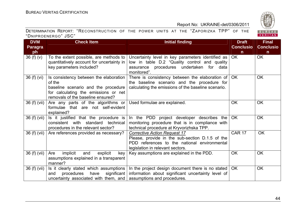

| <b>DVM</b>     | <b>Check Item</b>                                                                                                                                                    | <b>Initial finding</b>                                                                                                                                                     | <b>Draft</b>     | <b>Final</b>     |
|----------------|----------------------------------------------------------------------------------------------------------------------------------------------------------------------|----------------------------------------------------------------------------------------------------------------------------------------------------------------------------|------------------|------------------|
| <b>Paragra</b> |                                                                                                                                                                      |                                                                                                                                                                            | <b>Conclusio</b> | <b>Conclusio</b> |
| ph             |                                                                                                                                                                      |                                                                                                                                                                            | $\mathsf{n}$     | $\mathsf{n}$     |
| 36(f)(v)       | To the extent possible, are methods to<br>quantitatively account for uncertainty in<br>key parameters included?                                                      | Uncertainty level in key parameters identified as<br>low in table D.2 "Quality control and quality<br>assurance procedures undertaken for data<br>monitored".              | OK               | <b>OK</b>        |
| 36(f)(vi)      | Is consistency between the elaboration<br>of the<br>baseline scenario and the procedure<br>for calculating the emissions or net<br>removals of the baseline ensured? | There is consistency between the elaboration of<br>the baseline scenario and the procedure for<br>calculating the emissions of the baseline scenario.                      | <b>OK</b>        | <b>OK</b>        |
| 36 (f) (vii)   | Are any parts of the algorithms or<br>formulae that are not self-evident<br>explained?                                                                               | Used formulae are explained.                                                                                                                                               | <b>OK</b>        | <b>OK</b>        |
| 36 (f) (vii)   | Is it justified that the procedure is<br>consistent with standard<br>technical<br>procedures in the relevant sector?                                                 | In the PDD project developer describes the<br>monitoring procedure that is in compliance with<br>technical procedure at Kryvorizhska TPP.                                  | <b>OK</b>        | <b>OK</b>        |
| 36(f)(vii)     | Are references provided as necessary?                                                                                                                                | <b>Corrective Action Request 17</b><br>Please, provide in the sub-section D.1.5 of the<br>PDD references to the national environmental<br>legislation in relevant sectors. | <b>CAR 17</b>    | <b>OK</b>        |
| 36 (f) (vii)   | implicit<br>and<br>explicit<br>Are<br>key<br>assumptions explained in a transparent<br>manner?                                                                       | Key assumptions are explained in the PDD.                                                                                                                                  | <b>OK</b>        | OK               |
| 36 (f) (vii)   | Is it clearly stated which assumptions<br>procedures have<br>significant<br>and<br>uncertainty associated with them, and                                             | In the project design document there is no stated<br>information about significant uncertainty level of<br>assumptions and procedures.                                     | <b>OK</b>        | <b>OK</b>        |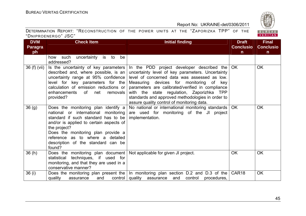

| <b>DVM</b>   | <b>Check Item</b>                                                                                                                                                                                                                                                                                       | <b>Initial finding</b>                                                                                                                                                                                                                                                                                                                                                                               | <b>Draft</b>      | <b>Final</b>     |
|--------------|---------------------------------------------------------------------------------------------------------------------------------------------------------------------------------------------------------------------------------------------------------------------------------------------------------|------------------------------------------------------------------------------------------------------------------------------------------------------------------------------------------------------------------------------------------------------------------------------------------------------------------------------------------------------------------------------------------------------|-------------------|------------------|
| Paragra      |                                                                                                                                                                                                                                                                                                         |                                                                                                                                                                                                                                                                                                                                                                                                      | <b>Conclusio</b>  | <b>Conclusio</b> |
| ph           |                                                                                                                                                                                                                                                                                                         |                                                                                                                                                                                                                                                                                                                                                                                                      | $\mathsf{n}$      | $\mathbf n$      |
|              | uncertainty is to<br>be<br>how such<br>addressed?                                                                                                                                                                                                                                                       |                                                                                                                                                                                                                                                                                                                                                                                                      |                   |                  |
| 36 (f) (vii) | Is the uncertainty of key parameters<br>described and, where possible, is an<br>uncertainty range at 95% confidence<br>level for key parameters for the<br>calculation of emission reductions or<br>enhancements<br>net<br>of<br>removals<br>provided?                                                  | In the PDD project developer described the $OK$<br>uncertainty level of key parameters. Uncertainty<br>level of concerned data was assessed as low.<br>Measuring devices for monitoring of<br>kev<br>parameters are calibrated/verified in compliance<br>with the state regulation, Zaporizhka TPP<br>standards and approved methodologies in order to<br>assure quality control of monitoring data. |                   | <b>OK</b>        |
| 36(9)        | Does the monitoring plan identify a<br>national or international monitoring<br>standard if such standard has to be<br>and/or is applied to certain aspects of<br>the project?<br>Does the monitoring plan provide a<br>reference as to where a detailed<br>description of the standard can be<br>found? | No national or international monitoring standards   OK<br>are used for monitoring of the JI project<br>implementation.                                                                                                                                                                                                                                                                               |                   | <b>OK</b>        |
| 36(h)        | Does the monitoring plan document<br>statistical<br>techniques, if used for<br>monitoring, and that they are used in a<br>conservative manner?                                                                                                                                                          | Not applicable for given JI project.                                                                                                                                                                                                                                                                                                                                                                 | <b>OK</b>         | <b>OK</b>        |
| 36(i)        | and<br>quality<br>assurance                                                                                                                                                                                                                                                                             | Does the monitoring plan present the $\vert$ In monitoring plan section D.2 and D.3 of the<br>control   quality<br>assurance<br>and<br>control<br>procedures,                                                                                                                                                                                                                                        | CAR <sub>18</sub> | <b>OK</b>        |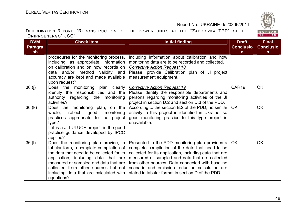

| <b>DVM</b>     | <b>Check Item</b>                                                                                                                                                                                                                                                                                               | <b>Initial finding</b>                                                                                                                                                                                                                                                                                                                                                       | <b>Draft</b>     | <b>Final</b>     |
|----------------|-----------------------------------------------------------------------------------------------------------------------------------------------------------------------------------------------------------------------------------------------------------------------------------------------------------------|------------------------------------------------------------------------------------------------------------------------------------------------------------------------------------------------------------------------------------------------------------------------------------------------------------------------------------------------------------------------------|------------------|------------------|
| <b>Paragra</b> |                                                                                                                                                                                                                                                                                                                 |                                                                                                                                                                                                                                                                                                                                                                              | <b>Conclusio</b> | <b>Conclusio</b> |
| ph             |                                                                                                                                                                                                                                                                                                                 |                                                                                                                                                                                                                                                                                                                                                                              | n                | $\mathsf{n}$     |
|                | procedures for the monitoring process,<br>including, as appropriate, information<br>on calibration and on how records on<br>data and/or method validity and<br>accuracy are kept and made available<br>upon request?                                                                                            | including information about calibration and how<br>monitoring data are to be recorded and collected.<br><b>Corrective Action Request 18</b><br>Please, provide Calibration plan of JI project<br>measurement equipment.                                                                                                                                                      |                  |                  |
| 36(j)          | Does the monitoring plan clearly<br>identify the responsibilities and the<br>authority regarding the monitoring<br>activities?                                                                                                                                                                                  | <b>Corrective Action Request 19</b><br>Please identify the responsible departments and<br>persons regarding monitoring activities of the JI<br>project in section D.2 and section D.3 of the PDD.                                                                                                                                                                            | CAR19            | <b>OK</b>        |
| 36(k)          | Does the monitoring plan, on the<br>reflect<br>whole,<br>monitoring<br>good<br>practices appropriate to the project<br>type?<br>If it is a JI LULUCF project, is the good<br>practice guidance developed by IPCC<br>applied?                                                                                    | According to the section B.2 of the PDD, no similar  <br>activity to this project is identified in Ukraine, so<br>good monitoring practice to this type project is<br>unavailable.                                                                                                                                                                                           | OK.              | <b>OK</b>        |
| 36 (I)         | Does the monitoring plan provide, in<br>tabular form, a complete compilation of<br>the data that need to be collected for its<br>application, including data that are<br>measured or sampled and data that are<br>collected from other sources but not<br>including data that are calculated with<br>equations? | Presented in the PDD monitoring plan provides a<br>complete compilation of the data that need to be<br>collected for its application, including data that are<br>measured or sampled and data that are collected<br>from other sources. Data connected with baseline<br>scenario and emission reduction calculation are<br>stated in tabular format in section D of the PDD. | OK               | <b>OK</b>        |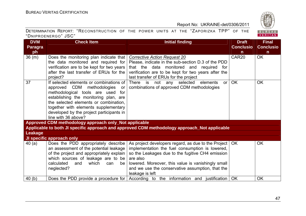

| <b>DVM</b>     | <b>Check Item</b>                                                        | <b>Initial finding</b>                                                                       | <b>Draft</b>      | <b>Final</b>     |
|----------------|--------------------------------------------------------------------------|----------------------------------------------------------------------------------------------|-------------------|------------------|
| <b>Paragra</b> |                                                                          |                                                                                              | <b>Conclusio</b>  | <b>Conclusio</b> |
| ph             |                                                                          |                                                                                              | $\mathsf{n}$      | n                |
| 36 (m)         | Does the monitoring plan indicate that                                   | <b>Corrective Action Request 20</b>                                                          | CAR <sub>20</sub> | <b>OK</b>        |
|                | the data monitored and required for                                      | Please, indicate in the sub-section D.3 of the PDD                                           |                   |                  |
|                | verification are to be kept for two years                                | that the data monitored and<br>required for                                                  |                   |                  |
|                | after the last transfer of ERUs for the                                  | verification are to be kept for two years after the                                          |                   |                  |
|                | project?                                                                 | last transfer of ERUs for the project                                                        |                   |                  |
| 37             | If selected elements or combinations of                                  | There is not any selected elements<br>or <sub>l</sub>                                        | <b>OK</b>         | <b>OK</b>        |
|                | approved CDM methodologies<br>or<br>methodological tools are used<br>for | combinations of approved CDM methodologies                                                   |                   |                  |
|                | establishing the monitoring plan, are                                    |                                                                                              |                   |                  |
|                | the selected elements or combination,                                    |                                                                                              |                   |                  |
|                | together with elements supplementary                                     |                                                                                              |                   |                  |
|                | developed by the project participants in                                 |                                                                                              |                   |                  |
|                | line with 36 above?                                                      |                                                                                              |                   |                  |
|                | Approved CDM methodology approach only_Not applicable                    |                                                                                              |                   |                  |
|                |                                                                          | Applicable to both JI specific approach and approved CDM methodology approach_Not applicable |                   |                  |
| Leakage        |                                                                          |                                                                                              |                   |                  |
|                | JI specific approach only                                                |                                                                                              |                   |                  |
| 40(a)          | Does the PDD appropriately describe                                      | As project developers regard, as due to the Project   OK                                     |                   | <b>OK</b>        |
|                | an assessment of the potential leakage                                   | implementation the fuel consumption is lowered,                                              |                   |                  |
|                | of the project and appropriately explain                                 | so the Leakages due to the fugitive CH4 emission                                             |                   |                  |
|                | which sources of leakage are to be                                       | are also                                                                                     |                   |                  |
|                | calculated<br>which<br>and<br>can<br>be                                  | lowered. Moreover, this value is vanishingly small                                           |                   |                  |
|                | neglected?                                                               | and we use the conservative assumption, that the                                             |                   |                  |
|                |                                                                          | leakage is left                                                                              |                   |                  |
| 40(b)          | Does the PDD provide a procedure for $\vert$                             | According to the information and justification OK                                            |                   | OK               |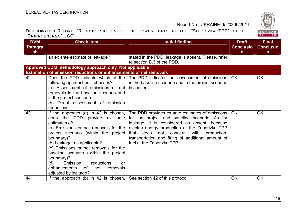BUREAU<br>VERITAS

# Report No: UKRAINE-det/0306/2011

| <b>DVM</b>     | <b>Check Item</b>                                                                                                                                                                                                                                                                                                                                                                                                                       | <b>Initial finding</b>                                                                                                                                                                                                                                                                                                            | <b>Draft</b>     | <b>Final</b>     |
|----------------|-----------------------------------------------------------------------------------------------------------------------------------------------------------------------------------------------------------------------------------------------------------------------------------------------------------------------------------------------------------------------------------------------------------------------------------------|-----------------------------------------------------------------------------------------------------------------------------------------------------------------------------------------------------------------------------------------------------------------------------------------------------------------------------------|------------------|------------------|
| <b>Paragra</b> |                                                                                                                                                                                                                                                                                                                                                                                                                                         |                                                                                                                                                                                                                                                                                                                                   | <b>Conclusio</b> | <b>Conclusio</b> |
| ph             |                                                                                                                                                                                                                                                                                                                                                                                                                                         |                                                                                                                                                                                                                                                                                                                                   | $\mathsf{n}$     | $\mathsf{n}$     |
|                | an ex ante estimate of leakage?                                                                                                                                                                                                                                                                                                                                                                                                         | stated in the PDD, leakage is absent. Please, refer<br>to section B.3 of the PDD.                                                                                                                                                                                                                                                 |                  |                  |
|                | Approved CDM methodology approach only_Not applicable                                                                                                                                                                                                                                                                                                                                                                                   |                                                                                                                                                                                                                                                                                                                                   |                  |                  |
|                | Estimation of emission reductions or enhancements of net removals                                                                                                                                                                                                                                                                                                                                                                       |                                                                                                                                                                                                                                                                                                                                   |                  |                  |
| 42             | following approaches it chooses?<br>(a) Assessment of emissions or net<br>removals in the baseline scenario and<br>in the project scenario<br>(b) Direct assessment of emission<br>reductions                                                                                                                                                                                                                                           | Does the PDD indicate which of the The PDD indicates that assessment of emissions<br>in the baseline scenario and in the project scenario<br>is chosen                                                                                                                                                                            | OK.              | OK.              |
| 43             | If the approach (a) in 42 is chosen, $\vert$<br>does the PDD provide ex ante<br>estimates of:<br>(a) Emissions or net removals for the $ $<br>project scenario (within the project<br>boundary)?<br>(b) Leakage, as applicable?<br>(c) Emissions or net removals for the<br>baseline scenario (within the project<br>boundary)?<br>reductions<br>(d)<br>Emission<br>or<br>0f<br>enhancements<br>net<br>removals<br>adjusted by leakage? | The PDD provides ex ante estimates of emissions  <br>for the project and baseline scenario. As for<br>leakage, it is considered as absent, because<br>electric energy production at the Zaporizka TPP<br>that does not concern with production,<br>transportation and firing of additional amount of<br>fuel at the Zaporizka TPP | OK.              | <b>OK</b>        |
| 44             | If the approach (b) in 42 is chosen, See section 42 of this protocol                                                                                                                                                                                                                                                                                                                                                                    |                                                                                                                                                                                                                                                                                                                                   | <b>OK</b>        | <b>OK</b>        |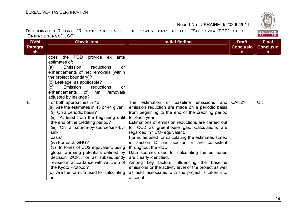

| <b>DVM</b>     | <b>Check Item</b>                                                                                                                                                                                                                                                                                                                                                                                                                                                                                           | <b>Initial finding</b>                                                                                                                                                                                                                                                                                                                                                                                                                                                                                                                                                                                                                                                                                         | <b>Draft</b>      | <b>Final</b>     |
|----------------|-------------------------------------------------------------------------------------------------------------------------------------------------------------------------------------------------------------------------------------------------------------------------------------------------------------------------------------------------------------------------------------------------------------------------------------------------------------------------------------------------------------|----------------------------------------------------------------------------------------------------------------------------------------------------------------------------------------------------------------------------------------------------------------------------------------------------------------------------------------------------------------------------------------------------------------------------------------------------------------------------------------------------------------------------------------------------------------------------------------------------------------------------------------------------------------------------------------------------------------|-------------------|------------------|
| <b>Paragra</b> |                                                                                                                                                                                                                                                                                                                                                                                                                                                                                                             |                                                                                                                                                                                                                                                                                                                                                                                                                                                                                                                                                                                                                                                                                                                | <b>Conclusio</b>  | <b>Conclusio</b> |
| ph             |                                                                                                                                                                                                                                                                                                                                                                                                                                                                                                             |                                                                                                                                                                                                                                                                                                                                                                                                                                                                                                                                                                                                                                                                                                                | $\mathsf{n}$      | $\mathsf{n}$     |
|                | the PDD<br>provide ex ante<br>does<br>estimates of:<br>reductions<br>(a)<br>Emission<br><b>or</b><br>enhancements of net removals (within<br>the project boundary)?<br>(b) Leakage, as applicable?<br>(c)<br>Emission<br>reductions<br><u>or</u><br>enhancements<br>net<br>of<br>removals<br>adjusted by leakage?                                                                                                                                                                                           |                                                                                                                                                                                                                                                                                                                                                                                                                                                                                                                                                                                                                                                                                                                |                   |                  |
| 45             | For both approaches in 42<br>(a) Are the estimates in 43 or 44 given:<br>(i) On a periodic basis?<br>(ii) At least from the beginning until<br>the end of the crediting period?<br>(iii) On a source-by-source/sink-by-<br>sink<br>basis?<br>(iv) For each GHG?<br>(v) In tones of CO2 equivalent, using<br>global warming potentials defined by<br>decision 2/CP.3 or as subsequently<br>revised in accordance with Article 5 of<br>the Kyoto Protocol?<br>(b) Are the formula used for calculating<br>the | estimation of baseline<br>emissions<br>The<br>and<br>emission reduction are made on a periodic basis<br>from beginning to the end of the crediting period<br>for each year.<br>Estimations of emission reductions are carried out<br>for CO2 as greenhouse gas. Calculations are<br>regarded in $t \text{ CO}_2$ equivalent.<br>Formulae used for calculating the estimates stated<br>in section D and section E are consistent<br>throughout the PDD.<br>Data sources used for calculating the estimates<br>are clearly identified.<br>Among key factors influencing the baseline<br>emissions or the activity level of the project as well<br>as risks associated with the project is taken into<br>account. | CAR <sub>21</sub> | <b>OK</b>        |

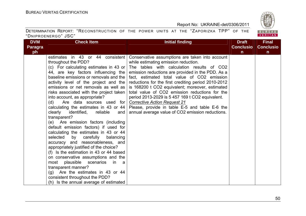BUREAU<br>VERITAS

# Report No: UKRAINE-det/0306/2011

| <b>DVM</b>     | <b>Check Item</b>                                                                  | Initial finding                                     | <b>Draft</b>     | <b>Final</b>     |
|----------------|------------------------------------------------------------------------------------|-----------------------------------------------------|------------------|------------------|
| <b>Paragra</b> |                                                                                    |                                                     | <b>Conclusio</b> | <b>Conclusio</b> |
| ph             |                                                                                    |                                                     | n.               | $\mathsf{n}$     |
|                | estimates in 43 or 44 consistent                                                   | Conservative assumptions are taken into account     |                  |                  |
|                | throughout the PDD?                                                                | while estimating emission reduction.                |                  |                  |
|                | (c) For calculating estimates in 43 or                                             | The tables with calculation results of CO2          |                  |                  |
|                | 44, are key factors influencing the                                                | emission reductions are provided in the PDD. As a   |                  |                  |
|                | baseline emissions or removals and the                                             | fact, estimated total value of CO2 emission         |                  |                  |
|                | activity level of the project and the                                              | reductions for the first crediting period 2010-2012 |                  |                  |
|                | emissions or net removals as well as                                               | is 168200 t CO2 equivalent; moreover, estimated     |                  |                  |
|                | risks associated with the project taken                                            | total value of CO2 emission reductions for the      |                  |                  |
|                | into account, as appropriate?                                                      | period 2013-2029 is 5 457 169 t CO2 equivalent.     |                  |                  |
|                | Are data sources used for<br>(d)                                                   | <b>Corrective Action Request 21</b>                 |                  |                  |
|                | calculating the estimates in 43 or 44<br>clearly<br>identified,<br>reliable<br>and | Please, provide in table E-5 and table E-6 the      |                  |                  |
|                | transparent?                                                                       | annual average value of CO2 emission reductions.    |                  |                  |
|                | (e) Are emission factors (including                                                |                                                     |                  |                  |
|                | default emission factors) if used for                                              |                                                     |                  |                  |
|                | calculating the estimates in 43 or 44                                              |                                                     |                  |                  |
|                | selected<br>carefully<br>balancing<br>by                                           |                                                     |                  |                  |
|                | accuracy and reasonableness, and                                                   |                                                     |                  |                  |
|                | appropriately justified of the choice?                                             |                                                     |                  |                  |
|                | (f) Is the estimation in 43 or 44 based                                            |                                                     |                  |                  |
|                | on conservative assumptions and the                                                |                                                     |                  |                  |
|                | most plausible scenarios<br>in<br>- a                                              |                                                     |                  |                  |
|                | transparent manner?                                                                |                                                     |                  |                  |
|                | Are the estimates in 43 or 44<br>(g)                                               |                                                     |                  |                  |
|                | consistent throughout the PDD?                                                     |                                                     |                  |                  |
|                | (h) Is the annual average of estimated                                             |                                                     |                  |                  |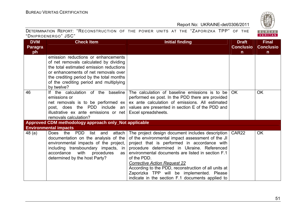

| <b>DVM</b>     | <b>Check Item</b>                                                                                                                                                                                                                                                     | <b>Initial finding</b>                                                                                                                                                                                                                                                                                                                                                                                                                                                  | <b>Draft</b>      | <b>Final</b>     |  |
|----------------|-----------------------------------------------------------------------------------------------------------------------------------------------------------------------------------------------------------------------------------------------------------------------|-------------------------------------------------------------------------------------------------------------------------------------------------------------------------------------------------------------------------------------------------------------------------------------------------------------------------------------------------------------------------------------------------------------------------------------------------------------------------|-------------------|------------------|--|
| <b>Paragra</b> |                                                                                                                                                                                                                                                                       |                                                                                                                                                                                                                                                                                                                                                                                                                                                                         | <b>Conclusio</b>  | <b>Conclusio</b> |  |
| ph             |                                                                                                                                                                                                                                                                       |                                                                                                                                                                                                                                                                                                                                                                                                                                                                         | n.                | n.               |  |
|                | emission reductions or enhancements<br>of net removals calculated by dividing<br>the total estimated emission reductions<br>or enhancements of net removals over<br>the crediting period by the total months<br>of the crediting period and multiplying<br>by twelve? |                                                                                                                                                                                                                                                                                                                                                                                                                                                                         |                   |                  |  |
| 46             | If the calculation of the baseline<br>emissions or<br>net removals is to be performed $ex$<br>post, does the PDD include an<br>illustrative ex ante emissions or net<br>removals calculation?                                                                         | The calculation of baseline emissions is to be<br>performed ex post. In the PDD there are provided<br>ex ante calculation of emissions. All estimated<br>values are presented in section E of the PDD and<br>Excel spreadsheets.                                                                                                                                                                                                                                        | OK.               | <b>OK</b>        |  |
|                | Approved CDM methodology approach only_Not applicable                                                                                                                                                                                                                 |                                                                                                                                                                                                                                                                                                                                                                                                                                                                         |                   |                  |  |
|                | <b>Environmental impacts</b>                                                                                                                                                                                                                                          |                                                                                                                                                                                                                                                                                                                                                                                                                                                                         |                   |                  |  |
| 48(a)          | Does the PDD<br>list and<br>attach<br>documentation on the analysis of the<br>environmental impacts of the project,<br>including transboundary impacts, in<br>accordance<br>with<br>procedures<br>as<br>determined by the host Party?                                 | The project design document includes description<br>of the environmental impact assessment of the JI<br>project that is performed in accordance with<br>procedure determined in Ukraine. Referenced<br>environmental documents are listed in section F.1<br>of the PDD.<br><b>Corrective Action Request 22</b><br>According to the PDD, reconstruction of all units at<br>Zaporizka TPP will be implemented. Please<br>indicate in the section F.1 documents applied to | CAR <sub>22</sub> | <b>OK</b>        |  |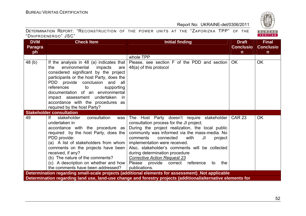| <b>DVM</b>     | <b>Check Item</b>                                                                                                                                                                                                                                                                                                                                                                    | <b>Initial finding</b>                                                                                                                                                                                                                                                                                                                                                                                                                                                                                                   | <b>Draft</b>     | <b>Final</b>     |
|----------------|--------------------------------------------------------------------------------------------------------------------------------------------------------------------------------------------------------------------------------------------------------------------------------------------------------------------------------------------------------------------------------------|--------------------------------------------------------------------------------------------------------------------------------------------------------------------------------------------------------------------------------------------------------------------------------------------------------------------------------------------------------------------------------------------------------------------------------------------------------------------------------------------------------------------------|------------------|------------------|
| <b>Paragra</b> |                                                                                                                                                                                                                                                                                                                                                                                      |                                                                                                                                                                                                                                                                                                                                                                                                                                                                                                                          | <b>Conclusio</b> | <b>Conclusio</b> |
| ph             |                                                                                                                                                                                                                                                                                                                                                                                      |                                                                                                                                                                                                                                                                                                                                                                                                                                                                                                                          | $\mathsf{n}$     | $\mathsf{n}$     |
|                |                                                                                                                                                                                                                                                                                                                                                                                      | whole TPP                                                                                                                                                                                                                                                                                                                                                                                                                                                                                                                |                  |                  |
| 48(b)          | If the analysis in 48 (a) indicates that<br>environmental impacts<br>the<br>are<br>considered significant by the project<br>participants or the host Party, does the<br>PDD provide conclusion and all<br>references<br>supporting<br>to<br>documentation of an environmental<br>impact assessment undertaken in<br>accordance with the procedures as<br>required by the host Party? | Please, see section F of the PDD and section<br>48(a) of this protocol                                                                                                                                                                                                                                                                                                                                                                                                                                                   | <b>OK</b>        | <b>OK</b>        |
|                | <b>Stakeholder consultation</b>                                                                                                                                                                                                                                                                                                                                                      |                                                                                                                                                                                                                                                                                                                                                                                                                                                                                                                          |                  |                  |
| 49             | If<br>stakeholder<br>consultation<br>was<br>undertaken in<br>accordance with the procedure as<br>required by the host Party, does the<br>PDD provide:<br>(a) A list of stakeholders from whom<br>comments on the projects have been<br>received, if any?<br>(b) The nature of the comments?<br>the comments have been addressed?                                                     | The Host Party doesn't require stakeholder<br>consultation process for the JI project.<br>During the project realization, the local public<br>community was informed via the mass-media. No<br>comments<br>connected<br>with<br>JI<br>project<br>implementation were received.<br>Also, stakeholder's comments will be collected<br>during determination procedure<br><b>Corrective Action Request 23</b><br>(c) A description on whether and how   Please   provide   correct   reference<br>the<br>to<br>publications. | <b>CAR 23</b>    | <b>OK</b>        |
|                |                                                                                                                                                                                                                                                                                                                                                                                      | Determination regarding small-scale projects (additional elements for assessment)_Not applicable                                                                                                                                                                                                                                                                                                                                                                                                                         |                  |                  |
|                |                                                                                                                                                                                                                                                                                                                                                                                      | Determination regarding land use, land-use change and forestry projects (additional/alternative elements for                                                                                                                                                                                                                                                                                                                                                                                                             |                  |                  |

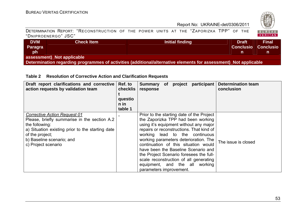

|                     | DETERMINATION REPORT: "RECONSTRUCTION OF THE POWER UNITS AT THE "ZAPORIZKA TPP" OF THE |  |  |  |  |  |
|---------------------|----------------------------------------------------------------------------------------|--|--|--|--|--|
| "DNIPROENERGO" JSC" |                                                                                        |  |  |  |  |  |

| <b>DVM</b><br><b>Paragra</b><br>ph                                                                               | <b>Check Item</b> | Initial finding | <b>Draft</b><br><b>Conclusio</b> | <b>Final</b><br><b>Conclusio</b> |  |  |  |  |
|------------------------------------------------------------------------------------------------------------------|-------------------|-----------------|----------------------------------|----------------------------------|--|--|--|--|
| assessment)_Not applicable                                                                                       |                   |                 |                                  |                                  |  |  |  |  |
| Determination regarding programmes of activities (additional/alternative elements for assessment)_Not applicable |                   |                 |                                  |                                  |  |  |  |  |

# **Table 2 Resolution of Corrective Action and Clarification Requests**

| Draft report clarifications and corrective<br>action requests by validation team                                                                                                                                                 | Ref. to<br>checklis<br>questio<br>$n$ in<br>table 1 | participant<br><b>Determination team</b><br>Summary of project<br>conclusion<br>response                                                                                                                                                                                                                                                                                                                                                                                                                    |
|----------------------------------------------------------------------------------------------------------------------------------------------------------------------------------------------------------------------------------|-----------------------------------------------------|-------------------------------------------------------------------------------------------------------------------------------------------------------------------------------------------------------------------------------------------------------------------------------------------------------------------------------------------------------------------------------------------------------------------------------------------------------------------------------------------------------------|
| <b>Corrective Action Request 01</b><br>Please, briefly summarise in the section A.2<br>the following:<br>a) Situation existing prior to the starting date<br>of the project;<br>b) Baseline scenario; and<br>c) Project scenario |                                                     | Prior to the starting date of the Project<br>the Zaporizka TPP had been working<br>using it's equipment without any major<br>repairs or reconstructions. That kind of<br>working lead to the continuous<br>working parameters deterioration. The<br>The issue is closed<br>continuation of this situation would<br>have been the Baseline Scenario and<br>the Project Scenario foresees the full-<br>scale reconstruction of all generating<br>equipment, and the all<br>working<br>parameters improvement. |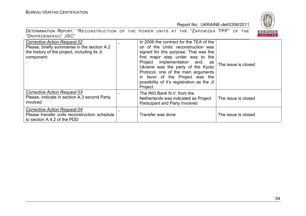

| DETERMINATION REPORT: "RECONSTRUCTION OF THE POWER UNITS AT THE "ZAPORIZKA TPP" OF THE |  |  |  |  |  |  |
|----------------------------------------------------------------------------------------|--|--|--|--|--|--|
| "DNIPROENERGO" JSC"                                                                    |  |  |  |  |  |  |

| <b>Corrective Action Request 02</b><br>Please, briefly summarise in the section A.2<br>the history of the project, including its JI<br>component | In 2006 the contract for the TEA of the<br>on of the Units' reconstruction was<br>signed for this purpose. That was the<br>first major step under way to the<br>Project implementation and, as<br>Ukraine was the party of the Kyoto<br>Protocol, one of the main arguments<br>in favor of the Project was the<br>possibility of it's registration as the JI<br>Project. | The issue is closed |
|--------------------------------------------------------------------------------------------------------------------------------------------------|--------------------------------------------------------------------------------------------------------------------------------------------------------------------------------------------------------------------------------------------------------------------------------------------------------------------------------------------------------------------------|---------------------|
| <b>Corrective Action Request 03</b><br>Please, indicate in section A.3 second Party<br>involved                                                  | The ING Bank N.V. from the<br>Netherlands was indicated as Project<br>Participant and Party Involved                                                                                                                                                                                                                                                                     | The issue is closed |
| <b>Corrective Action Request 04</b><br>Please transfer units reconstruction schedule<br>to section A.4.2 of the PDD                              | Transfer was done                                                                                                                                                                                                                                                                                                                                                        | The issue is closed |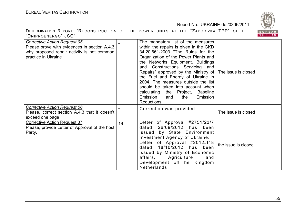

|                                                                                                                                                          |    |                                                                                                                                                                                                                                                                                                                                                                                                                                                                                      | 1828                     |
|----------------------------------------------------------------------------------------------------------------------------------------------------------|----|--------------------------------------------------------------------------------------------------------------------------------------------------------------------------------------------------------------------------------------------------------------------------------------------------------------------------------------------------------------------------------------------------------------------------------------------------------------------------------------|--------------------------|
| DETERMINATION REPORT: "RECONSTRUCTION OF THE POWER UNITS AT THE "ZAPORIZKA TPP" OF THE<br>"DNIPROENERGO" JSC"                                            |    |                                                                                                                                                                                                                                                                                                                                                                                                                                                                                      | <b>BUREAU</b><br>VERITAS |
| <b>Corrective Action Request 05</b><br>Please prove with evidences in section A.4.3<br>why proposed repair activity is not common<br>practice in Ukraine |    | The mandatory list of the measures<br>within the repairs is given in the GKD<br>34.20.661-2003 "The Rules for the<br>Organization of the Power Plants and<br>the Networks Equipment, Buildings<br>and Constructions Servicing and<br>Repairs" approved by the Ministry of<br>the Fuel and Energy of Ukraine in<br>2004. The measures outside the list<br>should be taken into account when<br>calculating the Project, Baseline<br>Emission<br>Emission<br>and<br>the<br>Reductions. | The issue is closed      |
| <b>Corrective Action Request 06</b><br>Please, correct section A.4.3 that it doesn't<br>exceed one page                                                  |    | Correction was provided                                                                                                                                                                                                                                                                                                                                                                                                                                                              | The issue is closed      |
| <b>Corrective Action Request 07</b><br>Please, provide Letter of Approval of the host<br>Party.                                                          | 19 | Letter of Approval #2751/23/7<br>dated 26/09/2012 has been<br>issued by State Environment<br>Investment Agency of Ukraine.<br>Letter of Approval #2012JI48<br>18/10/2012 has been<br>dated<br>issued by Ministry of Economic<br>affairs,<br>Agriculture<br>and<br>Development oft he Kingdom<br><b>Netherlands</b>                                                                                                                                                                   | the issue is closed      |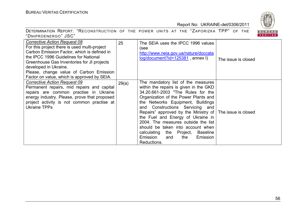



| Corrective Action Request 08<br>For this project there is used multi-project<br>Carbon Emission Factor, which is defined in<br>the IPCC 1996 Guidelines for National<br>Greenhouse Gas Inventories for JI projects<br>developed in Ukraine.<br>Please, change value of Carbon Emission<br>Factor on value, which is approved by SEIA. | 25    | The SEIA uses the IPCC 1996 values<br>(see<br>http://www.neia.gov.ua/nature/doccata<br>log/document?id=125381, annex I)                                                                                                                                                                                                                                                                                                                                                                                  | The issue is closed |
|---------------------------------------------------------------------------------------------------------------------------------------------------------------------------------------------------------------------------------------------------------------------------------------------------------------------------------------|-------|----------------------------------------------------------------------------------------------------------------------------------------------------------------------------------------------------------------------------------------------------------------------------------------------------------------------------------------------------------------------------------------------------------------------------------------------------------------------------------------------------------|---------------------|
| <b>Corrective Action Request 09</b><br>Permanent repairs, mid repairs and capital<br>repairs are common practise in Ukraine<br>energy industry. Please, prove that proposed<br>project activity is not common practise at<br><b>Ukraine TPPs</b>                                                                                      | 29(a) | The mandatory list of the measures<br>within the repairs is given in the GKD<br>34.20.661-2003 "The Rules for the<br>Organization of the Power Plants and<br>the Networks Equipment, Buildings<br>and Constructions Servicing and<br>Repairs" approved by the Ministry of The issue is closed<br>the Fuel and Energy of Ukraine in<br>2004. The measures outside the list<br>should be taken into account when<br>calculating the Project, Baseline<br>Emission<br>Emission<br>the<br>and<br>Reductions. |                     |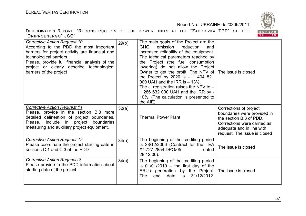

| DETERMINATION REPORT: "RECONSTRUCTION OF THE POWER UNITS AT THE "ZAPORIZKA TPP" OF THE |  |  |  |  |  |  |
|----------------------------------------------------------------------------------------|--|--|--|--|--|--|
| "DNIPROENERGO" JSC"                                                                    |  |  |  |  |  |  |

| <b>Corrective Action Request 10</b><br>According to the PDD the most important<br>barriers for project activity are financial and<br>technological barriers.<br>Please, provide full financial analysis of the<br>project or clearly describe technological<br>barriers of the project | 29(b) | The main goals of the Project are the<br><b>GHG</b><br>emission<br>reduction<br>and<br>increased reliability of the equipment.<br>The technical parameters reached by<br>the Project (the fuel consumption<br>lowering) do not allow the Project<br>Owner to get the profit. The NPV of The issue is closed<br>the Project by 2020 is $- 1404821$<br>000 UAH and the IRR is $-13\%$ .<br>The JI registration raises the NPV to $-$<br>1 286 632 000 UAH and the IRR by -<br>10%. (The calculation is presented to<br>the AIE). |                                                                                                                                                                              |
|----------------------------------------------------------------------------------------------------------------------------------------------------------------------------------------------------------------------------------------------------------------------------------------|-------|--------------------------------------------------------------------------------------------------------------------------------------------------------------------------------------------------------------------------------------------------------------------------------------------------------------------------------------------------------------------------------------------------------------------------------------------------------------------------------------------------------------------------------|------------------------------------------------------------------------------------------------------------------------------------------------------------------------------|
| <b>Corrective Action Request 11</b><br>Please, provide in the section B.3 more<br>detailed delineation of project boundaries.<br>Please, include in project<br>boundaries<br>measuring and auxiliary project equipment.                                                                | 32(a) | <b>Thermal Power Plant</b>                                                                                                                                                                                                                                                                                                                                                                                                                                                                                                     | Corrections of project<br>boundaries were provided in<br>the section B.3 of PDD.<br>Corrections were carried as<br>adequate and in line with<br>request. The issue is closed |
| <b>Corrective Action Request 12</b><br>Please coordinate the project starting date in<br>sections C.1 and C.3 of the PDD                                                                                                                                                               | 34(a) | The beginning of the crediting period<br>is 28/12/2006 (Contract for the TEA<br>#7-727-2854-DPO/05<br>dated<br>28.12.06).                                                                                                                                                                                                                                                                                                                                                                                                      | The issue is closed                                                                                                                                                          |
| <b>Corrective Action Request13</b><br>Please provide in the PDD information about<br>starting date of the project                                                                                                                                                                      | 34(c) | The beginning of the crediting period<br>is $01/01/2010$ - the first day of the<br>ERUs generation by the Project.<br>31/12/2012.<br>end<br>date<br>The<br>is                                                                                                                                                                                                                                                                                                                                                                  | The issue is closed                                                                                                                                                          |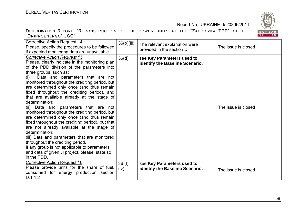| DETERMINATION REPORT: "RECONSTRUCTION OF THE POWER UNITS AT THE "ZAPORIZKA TPP" OF THE |  |  |  |  |  |  |
|----------------------------------------------------------------------------------------|--|--|--|--|--|--|
| "DNIPROENERGO" JSC"                                                                    |  |  |  |  |  |  |



| <b>Corrective Action Request 14</b><br>Please, specify the procedures to be followed<br>if expected monitoring data are unavailable.                                                                                                                                                                                                                                                                                                                                                                                                                                                                                                                                                                                                                                                                                                                                                    | 36(b)(iii)    | The relevant explanation were<br>provided in the section D    | The issue is closed |
|-----------------------------------------------------------------------------------------------------------------------------------------------------------------------------------------------------------------------------------------------------------------------------------------------------------------------------------------------------------------------------------------------------------------------------------------------------------------------------------------------------------------------------------------------------------------------------------------------------------------------------------------------------------------------------------------------------------------------------------------------------------------------------------------------------------------------------------------------------------------------------------------|---------------|---------------------------------------------------------------|---------------------|
| <b>Corrective Action Request 15</b><br>Please, clearly indicate in the monitoring plan<br>of the PDD division of the parameters into<br>three groups, such as:<br>Data and parameters that are not<br>(i)<br>monitored throughout the crediting period, but<br>are determined only once (and thus remain<br>fixed throughout the crediting period), and<br>that are available already at the stage of<br>determination;<br>(ii) Data and parameters that are not<br>monitored throughout the crediting period, but<br>are determined only once (and thus remain<br>fixed throughout the crediting period), but that<br>are not already available at the stage of<br>determination;<br>(iii) Data and parameters that are monitored<br>throughout the crediting period.<br>If any group is not applicable to parameters<br>and data of given JI project, please, state so<br>in the PDD. | 36(d)         | see Key Parameters used to<br>identify the Baseline Scenario. | The issue is closed |
| <b>Corrective Action Request 16</b><br>Please provide units for the share of fuel,<br>consumed for energy production section<br>D.1.1.2                                                                                                                                                                                                                                                                                                                                                                                                                                                                                                                                                                                                                                                                                                                                                 | 36(f)<br>(iv) | see Key Parameters used to<br>identify the Baseline Scenario. | The issue is closed |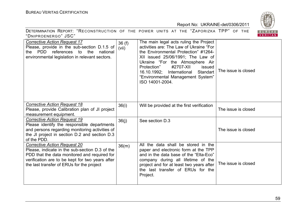

| DETERMINATION REPORT: "RECONSTRUCTION OF THE POWER UNITS AT THE "ZAPORIZKA TPP" OF THE<br>"DNIPROENERGO" JSC"                                                                                                                         |                |                                                                                                                                                                                                                                                                                                                                          | BUREAU<br>VERITAS   |
|---------------------------------------------------------------------------------------------------------------------------------------------------------------------------------------------------------------------------------------|----------------|------------------------------------------------------------------------------------------------------------------------------------------------------------------------------------------------------------------------------------------------------------------------------------------------------------------------------------------|---------------------|
| <b>Corrective Action Request 17</b><br>Please, provide in the sub-section D.1.5 of<br>the PDD references to the<br>national<br>environmental legislation in relevant sectors.                                                         | 36(f)<br>(vii) | The main legal acts ruling the Project<br>activities are: The Law of Ukraine "For<br>the Environmental Protection" #1264-<br>XII issued 25/06/1991; The Law of<br>Ukraine "For the Atmosphere Air<br>#2707-XII<br>Protection"<br>issued<br>16.10.1992;<br>International Standart<br>"Environmental Management System"<br>ISO 14001-2004. | The issue is closed |
| <b>Corrective Action Request 18</b><br>Please, provide Calibration plan of JI project<br>measurement equipment.                                                                                                                       | 36(i)          | Will be provided at the first verification                                                                                                                                                                                                                                                                                               | The issue is closed |
| <b>Corrective Action Request 19</b><br>Please identify the responsible departments<br>and persons regarding monitoring activities of<br>the JI project in section D.2 and section D.3<br>of the PDD.                                  | 36(i)          | See section D.3                                                                                                                                                                                                                                                                                                                          | The issue is closed |
| <b>Corrective Action Request 20</b><br>Please, indicate in the sub-section D.3 of the<br>PDD that the data monitored and required for<br>verification are to be kept for two years after<br>the last transfer of ERUs for the project | 36(m)          | All the data shall be stored in the<br>paper and electronic form at the TPP<br>and in the data base of the "Elta-Eco"<br>company during all lifetime of the<br>project and for at least two years after<br>the last transfer of ERUs for the<br>Project.                                                                                 | The issue is closed |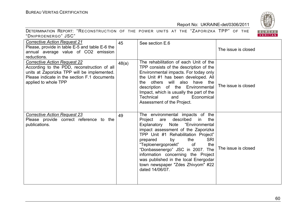

|  |  | <b>RUREAU</b> |  |  |  |
|--|--|---------------|--|--|--|
|--|--|---------------|--|--|--|

| <b>Corrective Action Request 21</b><br>Please, provide in table E-5 and table E-6 the<br>annual average value of CO2 emission<br>reductions.                                                              | 45    | See section E.6                                                                                                                                                                                                                                                                                                                                                                                                                                         | The issue is closed |
|-----------------------------------------------------------------------------------------------------------------------------------------------------------------------------------------------------------|-------|---------------------------------------------------------------------------------------------------------------------------------------------------------------------------------------------------------------------------------------------------------------------------------------------------------------------------------------------------------------------------------------------------------------------------------------------------------|---------------------|
| <b>Corrective Action Request 22</b><br>According to the PDD, reconstruction of all<br>units at Zaporizka TPP will be implemented.<br>Please indicate in the section F.1 documents<br>applied to whole TPP | 48(a) | The rehabilitation of each Unit of the<br>TPP consists of the description of the<br>Environmental impacts. For today only<br>the Unit #1 has been developed. All<br>will also have<br>others<br>the<br>the<br>description of the Environmental<br>Impact, which is usually the part of the<br><b>Technical</b><br>Economical<br>and<br>Assessment of the Project.                                                                                       | The issue is closed |
| <b>Corrective Action Request 23</b><br>Please provide correct reference to the<br>publications.                                                                                                           | 49    | The environmental impacts of the<br>described<br>Project<br>are<br>in<br>the<br>"Environmental<br>Explanatory<br>Note<br>impact assessment of the Zaporizka<br>TPP Unit #1 Rehabilitation Project"<br><b>SRI</b><br>by<br>the<br>prepared<br>"Teploenergoproekt"<br>of<br>the<br>"Donbassenergo" JSC in 2007. The<br>information concerning the Project<br>was published in the local Energodar<br>town newspaper "Zdes Zhivyom" #22<br>dated 14/06/07. | The issue is closed |